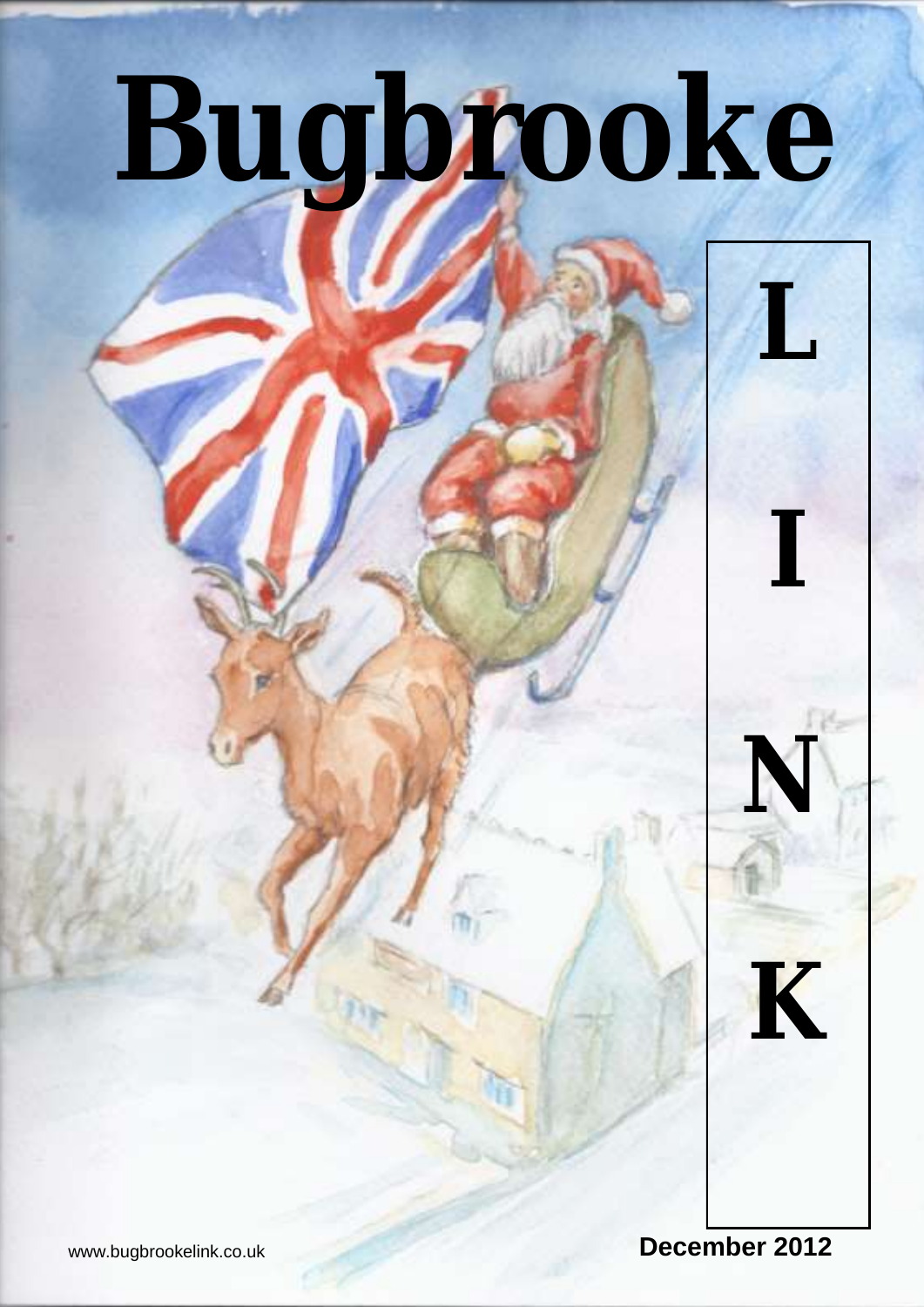# **Bugbrooke**

www.bugbrookelink.co.uk **December 2012** 

**L** 

**I**

**N**

**K**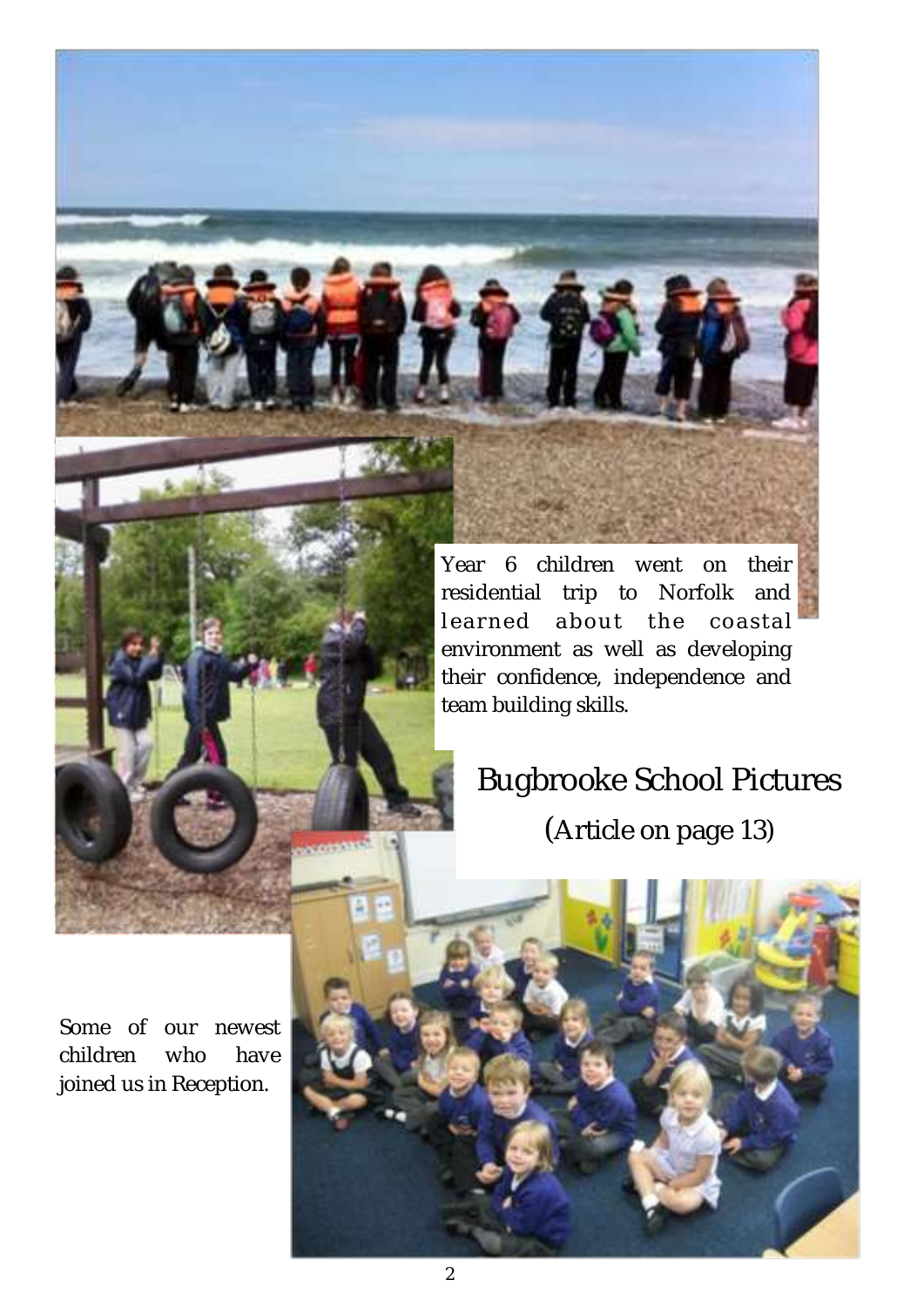Year 6 children went on their residential trip to Norfolk and learned about the coastal environment as well as developing their confidence, independence and team building skills.

# Bugbrooke School Pictures

(Article on page 13)



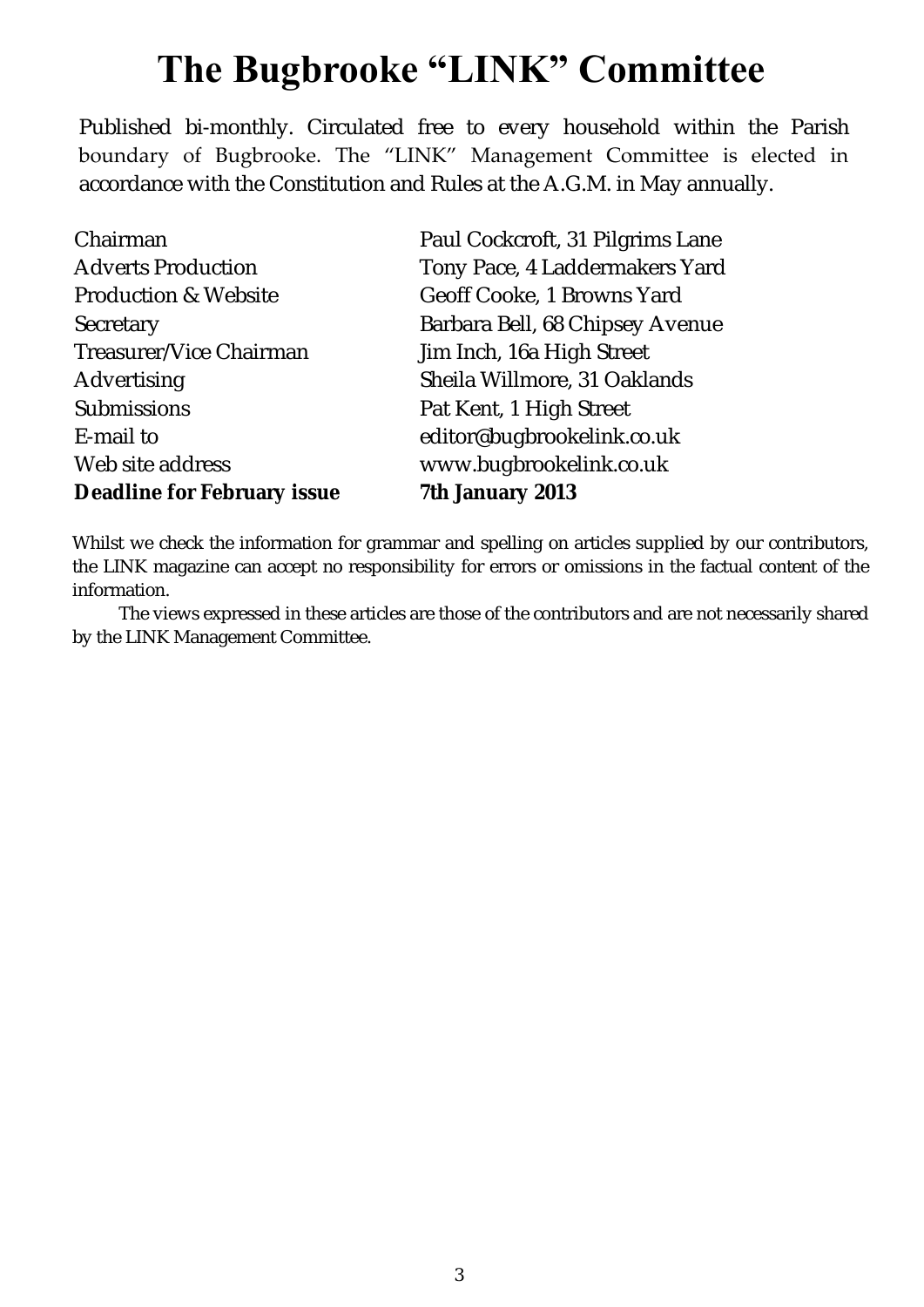# **The Bugbrooke "LINK" Committee**

Published bi-monthly. Circulated free to every household within the Parish boundary of Bugbrooke. The "LINK" Management Committee is elected in accordance with the Constitution and Rules at the A.G.M. in May annually.

Chairman Adverts Production Production & Website **Secretary** Treasurer/Vice Chairman Advertising Submissions E-mail to Web site address **Deadline for February issue** 

Paul Cockcroft, 31 Pilgrims Lane Tony Pace, 4 Laddermakers Yard Geoff Cooke, 1 Browns Yard Barbara Bell, 68 Chipsey Avenue Jim Inch, 16a High Street Sheila Willmore, 31 Oaklands Pat Kent, 1 High Street editor@bugbrookelink.co.uk www.bugbrookelink.co.uk **7th January 2013**

Whilst we check the information for grammar and spelling on articles supplied by our contributors, the LINK magazine can accept no responsibility for errors or omissions in the factual content of the information.

The views expressed in these articles are those of the contributors and are not necessarily shared by the LINK Management Committee.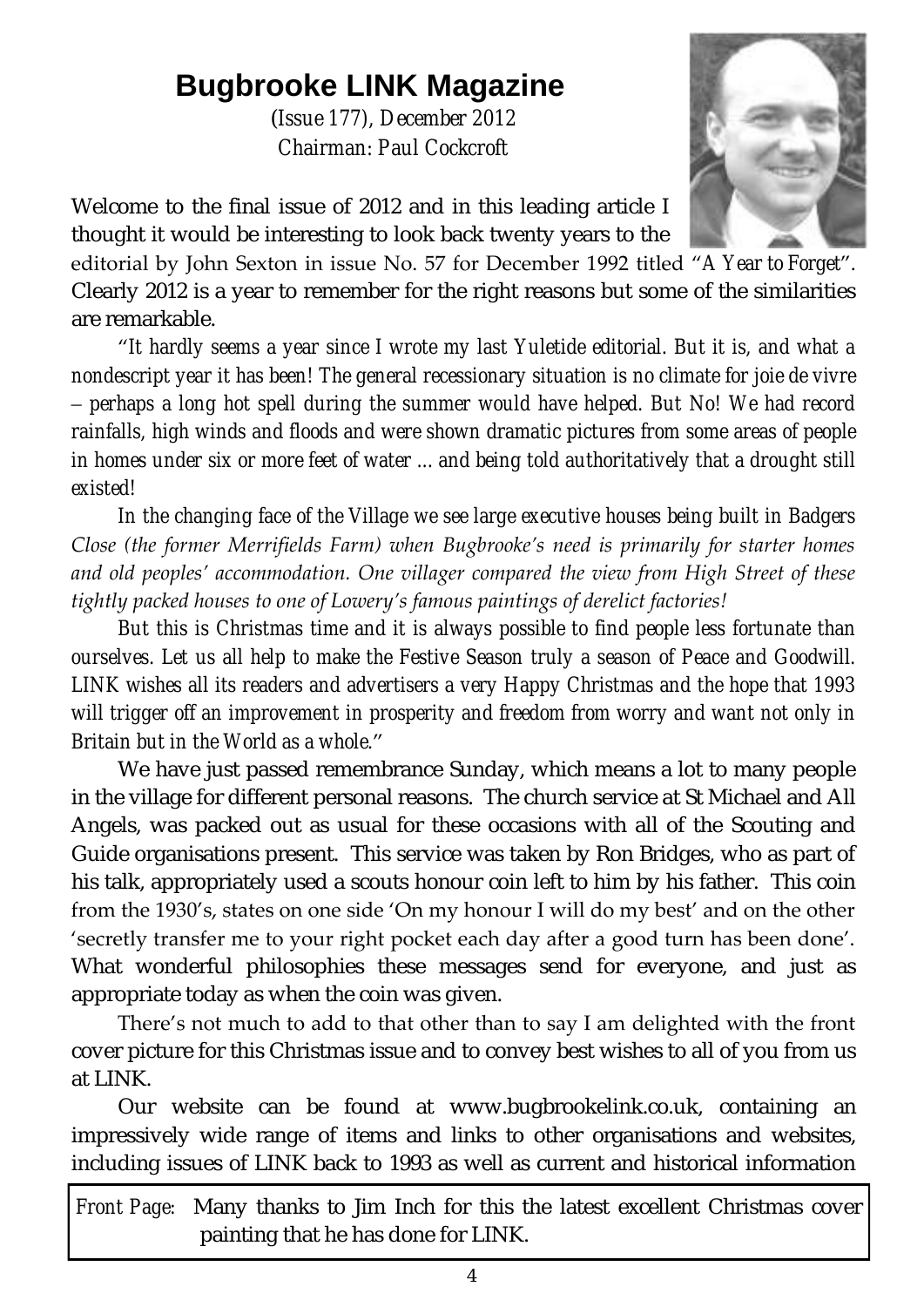# **Bugbrooke LINK Magazine**

(*Issue 177), December 2012 Chairman: Paul Cockcroft*



Welcome to the final issue of 2012 and in this leading article I thought it would be interesting to look back twenty years to the

editorial by John Sexton in issue No. 57 for December 1992 titled "*A Year to Forget*". Clearly 2012 is a year to remember for the right reasons but some of the similarities are remarkable.

"*It hardly seems a year since I wrote my last Yuletide editorial. But it is, and what a nondescript year it has been! The general recessionary situation is no climate for joie de vivre – perhaps a long hot spell during the summer would have helped. But No! We had record rainfalls, high winds and floods and were shown dramatic pictures from some areas of people in homes under six or more feet of water ... and being told authoritatively that a drought still existed!*

*In the changing face of the Village we see large executive houses being built in Badgers Close (the former Merrifields Farm) when Bugbrooke's need is primarily for starter homes and old peoples' accommodation. One villager compared the view from High Street of these tightly packed houses to one of Lowery's famous paintings of derelict factories!*

*But this is Christmas time and it is always possible to find people less fortunate than ourselves. Let us all help to make the Festive Season truly a season of Peace and Goodwill. LINK wishes all its readers and advertisers a very Happy Christmas and the hope that 1993 will trigger off an improvement in prosperity and freedom from worry and want not only in Britain but in the World as a whole*."

We have just passed remembrance Sunday, which means a lot to many people in the village for different personal reasons. The church service at St Michael and All Angels, was packed out as usual for these occasions with all of the Scouting and Guide organisations present. This service was taken by Ron Bridges, who as part of his talk, appropriately used a scouts honour coin left to him by his father. This coin from the 1930's, states on one side 'On my honour I will do my best' and on the other 'secretly transfer me to your right pocket each day after a good turn has been done'. What wonderful philosophies these messages send for everyone, and just as appropriate today as when the coin was given.

There's not much to add to that other than to say I am delighted with the front cover picture for this Christmas issue and to convey best wishes to all of you from us at LINK.

Our website can be found at [www.bugbrookelink.co.uk,](file:///C:/Users/dell/AppData/Local/Microsoft/Windows/Temporary%20Internet%20Files/Content.Outlook/Local%20Settings/Temporary%20Internet%20Files/LINK%20Issue%20142%20(Feb%2007)/www.bugbrookelink.co.uk) containing an impressively wide range of items and links to other organisations and websites, including issues of LINK back to 1993 as well as current and historical information

*Front Page:* Many thanks to Jim Inch for this the latest excellent Christmas cover painting that he has done for LINK.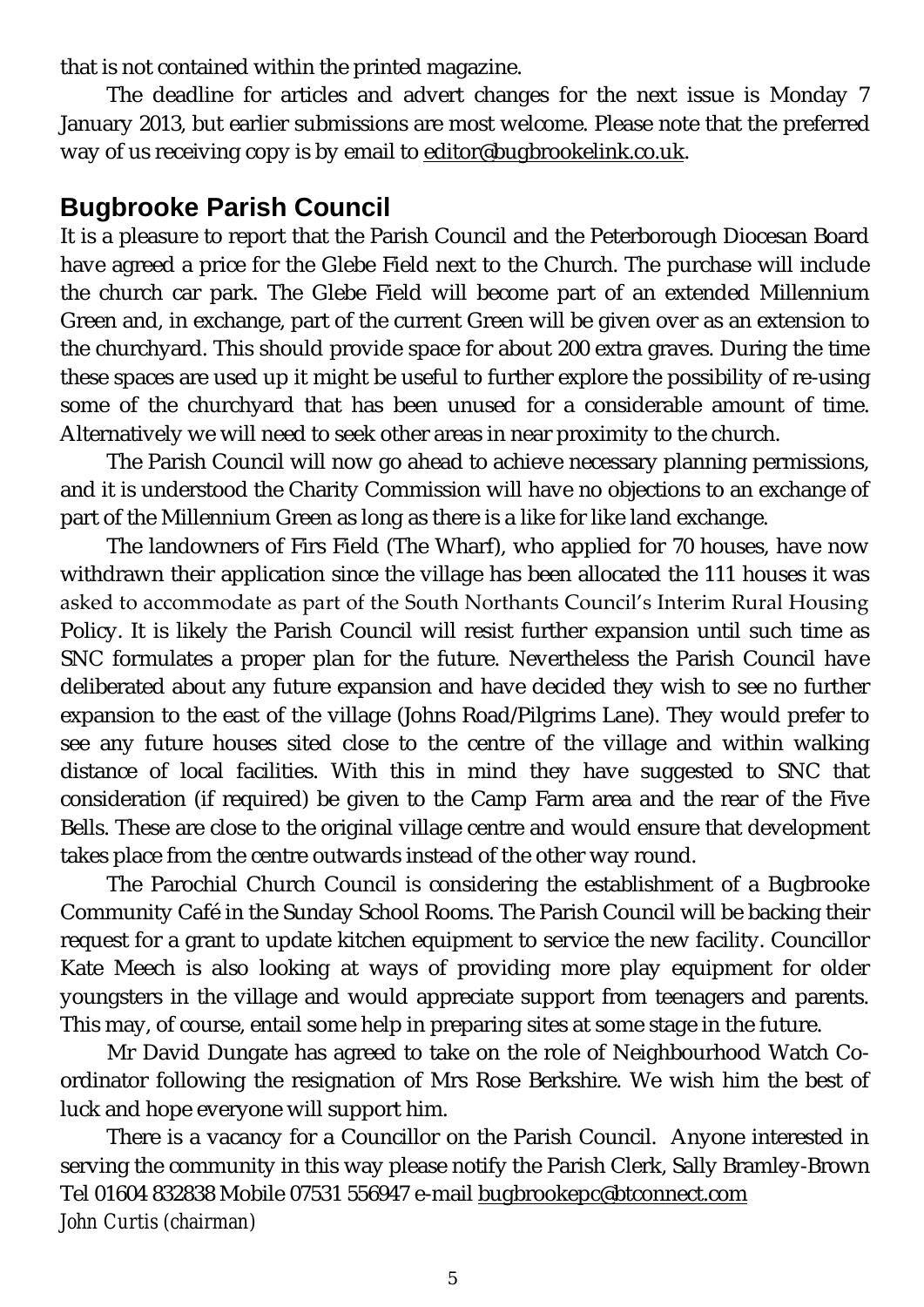that is not contained within the printed magazine.

The deadline for articles and advert changes for the next issue is Monday 7 January 2013, but earlier submissions are most welcome. Please note that the preferred way of us receiving copy is by email to [editor@bugbrookelink.co.uk.](mailto:editor@bugbrookelink.co.uk)

# **Bugbrooke Parish Council**

It is a pleasure to report that the Parish Council and the Peterborough Diocesan Board have agreed a price for the Glebe Field next to the Church. The purchase will include the church car park. The Glebe Field will become part of an extended Millennium Green and, in exchange, part of the current Green will be given over as an extension to the churchyard. This should provide space for about 200 extra graves. During the time these spaces are used up it might be useful to further explore the possibility of re-using some of the churchyard that has been unused for a considerable amount of time. Alternatively we will need to seek other areas in near proximity to the church.

The Parish Council will now go ahead to achieve necessary planning permissions, and it is understood the Charity Commission will have no objections to an exchange of part of the Millennium Green as long as there is a like for like land exchange.

The landowners of Firs Field (The Wharf), who applied for 70 houses, have now withdrawn their application since the village has been allocated the 111 houses it was asked to accommodate as part of the South Northants Council's Interim Rural Housing Policy. It is likely the Parish Council will resist further expansion until such time as SNC formulates a proper plan for the future. Nevertheless the Parish Council have deliberated about any future expansion and have decided they wish to see no further expansion to the east of the village (Johns Road/Pilgrims Lane). They would prefer to see any future houses sited close to the centre of the village and within walking distance of local facilities. With this in mind they have suggested to SNC that consideration (if required) be given to the Camp Farm area and the rear of the Five Bells. These are close to the original village centre and would ensure that development takes place from the centre outwards instead of the other way round.

The Parochial Church Council is considering the establishment of a Bugbrooke Community Café in the Sunday School Rooms. The Parish Council will be backing their request for a grant to update kitchen equipment to service the new facility. Councillor Kate Meech is also looking at ways of providing more play equipment for older youngsters in the village and would appreciate support from teenagers and parents. This may, of course, entail some help in preparing sites at some stage in the future.

Mr David Dungate has agreed to take on the role of Neighbourhood Watch Coordinator following the resignation of Mrs Rose Berkshire. We wish him the best of luck and hope everyone will support him.

There is a vacancy for a Councillor on the Parish Council. Anyone interested in serving the community in this way please notify the Parish Clerk, Sally Bramley-Brown Tel 01604 832838 Mobile 07531 556947 e-mail [bugbrookepc@btconnect.com](mailto:bugbrookepc@btconnect.com) *John Curtis (chairman)*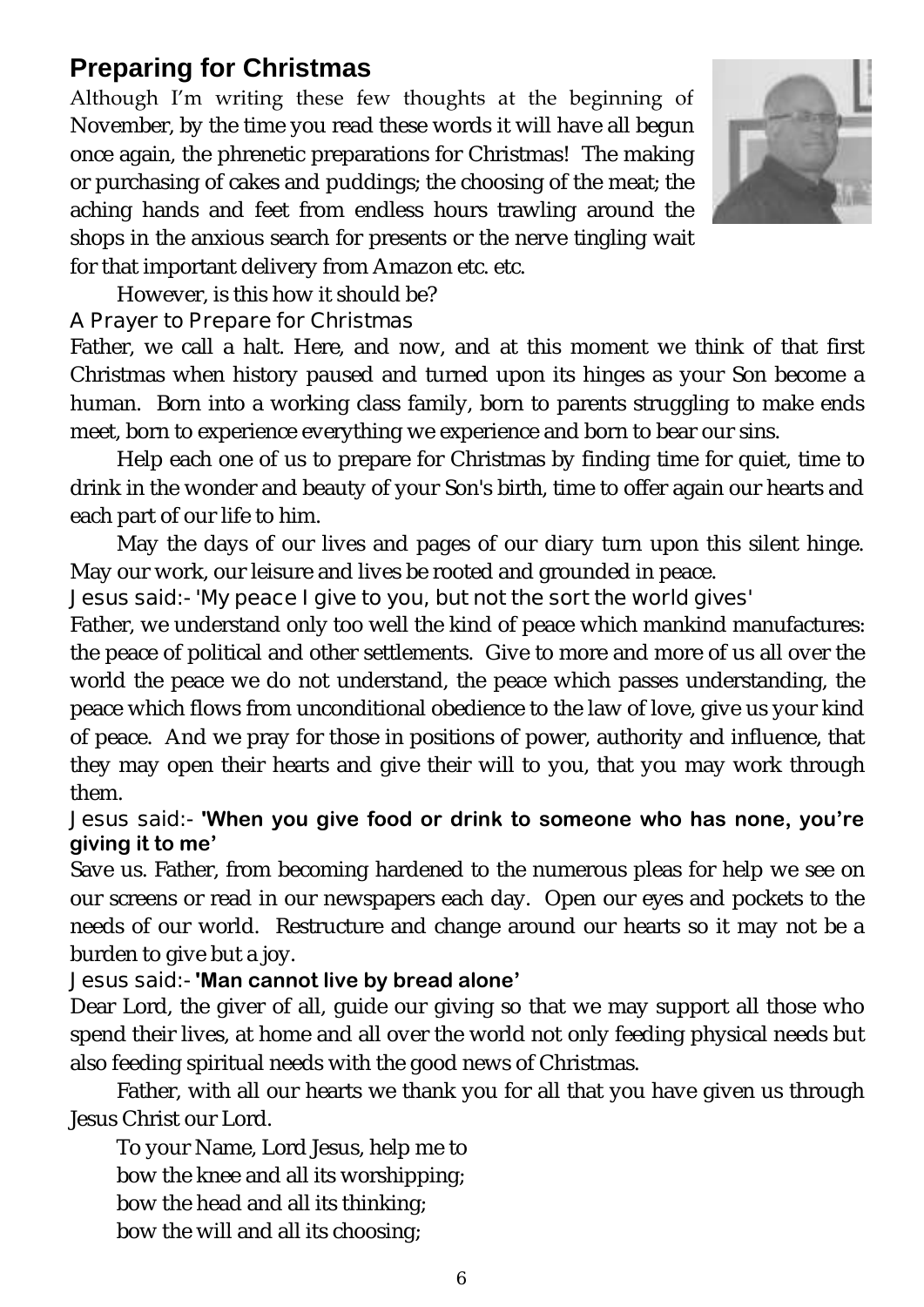# **Preparing for Christmas**

Although I'm writing these few thoughts at the beginning of November, by the time you read these words it will have all begun once again, the phrenetic preparations for Christmas! The making or purchasing of cakes and puddings; the choosing of the meat; the aching hands and feet from endless hours trawling around the shops in the anxious search for presents or the nerve tingling wait for that important delivery from Amazon etc. etc.



However, is this how it should be?

#### **A Prayer to Prepare for Christmas**

Father, we call a halt. Here, and now, and at this moment we think of that first Christmas when history paused and turned upon its hinges as your Son become a human. Born into a working class family, born to parents struggling to make ends meet, born to experience everything we experience and born to bear our sins.

Help each one of us to prepare for Christmas by finding time for quiet, time to drink in the wonder and beauty of your Son's birth, time to offer again our hearts and each part of our life to him.

May the days of our lives and pages of our diary turn upon this silent hinge. May our work, our leisure and lives be rooted and grounded in peace.

#### **Jesus said:- 'My peace I give to you, but not the sort the world gives'**

Father, we understand only too well the kind of peace which mankind manufactures: the peace of political and other settlements. Give to more and more of us all over the world the peace we do not understand, the peace which passes understanding, the peace which flows from unconditional obedience to the law of love, give us your kind of peace. And we pray for those in positions of power, authority and influence, that they may open their hearts and give their will to you, that you may work through them.

#### **Jesus said:- 'When you give food or drink to someone who has none, you're giving it to me'**

Save us. Father, from becoming hardened to the numerous pleas for help we see on our screens or read in our newspapers each day. Open our eyes and pockets to the needs of our world. Restructure and change around our hearts so it may not be a burden to give but a joy.

#### **Jesus said:- 'Man cannot live by bread alone'**

Dear Lord, the giver of all, guide our giving so that we may support all those who spend their lives, at home and all over the world not only feeding physical needs but also feeding spiritual needs with the good news of Christmas.

Father, with all our hearts we thank you for all that you have given us through Jesus Christ our Lord.

To your Name, Lord Jesus, help me to bow the knee and all its worshipping; bow the head and all its thinking; bow the will and all its choosing;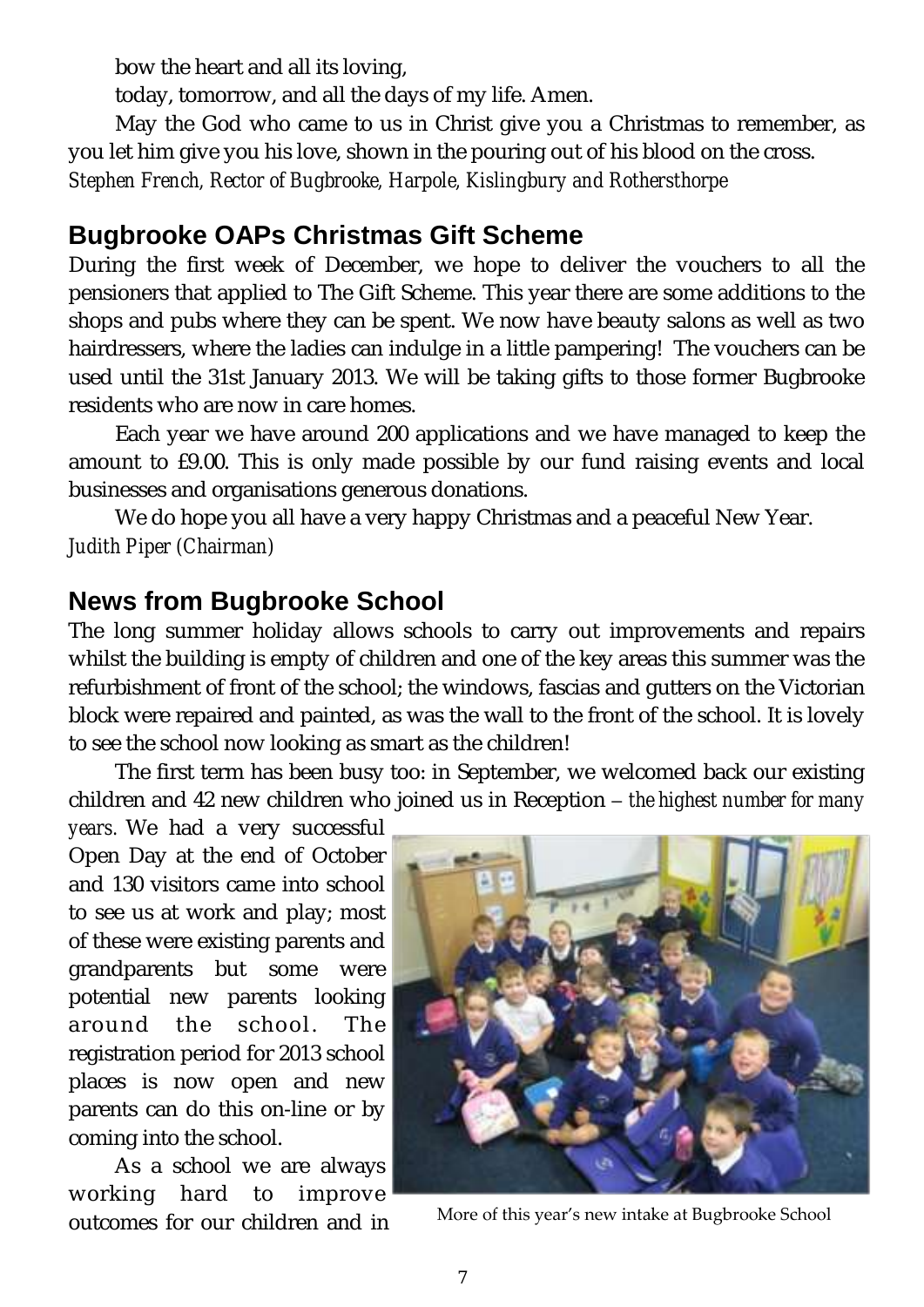bow the heart and all its loving,

today, tomorrow, and all the days of my life. Amen.

May the God who came to us in Christ give you a Christmas to remember, as you let him give you his love, shown in the pouring out of his blood on the cross.

*Stephen French, Rector of Bugbrooke, Harpole, Kislingbury and Rothersthorpe*

# **Bugbrooke OAPs Christmas Gift Scheme**

During the first week of December, we hope to deliver the vouchers to all the pensioners that applied to The Gift Scheme. This year there are some additions to the shops and pubs where they can be spent. We now have beauty salons as well as two hairdressers, where the ladies can indulge in a little pampering! The vouchers can be used until the 31st January 2013. We will be taking gifts to those former Bugbrooke residents who are now in care homes.

Each year we have around 200 applications and we have managed to keep the amount to £9.00. This is only made possible by our fund raising events and local businesses and organisations generous donations.

We do hope you all have a very happy Christmas and a peaceful New Year. *Judith Piper (Chairman)*

# **News from Bugbrooke School**

The long summer holiday allows schools to carry out improvements and repairs whilst the building is empty of children and one of the key areas this summer was the refurbishment of front of the school; the windows, fascias and gutters on the Victorian block were repaired and painted, as was the wall to the front of the school. It is lovely to see the school now looking as smart as the children!

The first term has been busy too: in September, we welcomed back our existing children and 42 new children who joined us in Reception – *the highest number for many* 

*years.* We had a very successful Open Day at the end of October and 130 visitors came into school to see us at work and play; most of these were existing parents and grandparents but some were potential new parents looking around the school. The registration period for 2013 school places is now open and new parents can do this on-line or by coming into the school.

As a school we are always working hard to improve



outcomes for our children and in More of this year's new intake at Bugbrooke School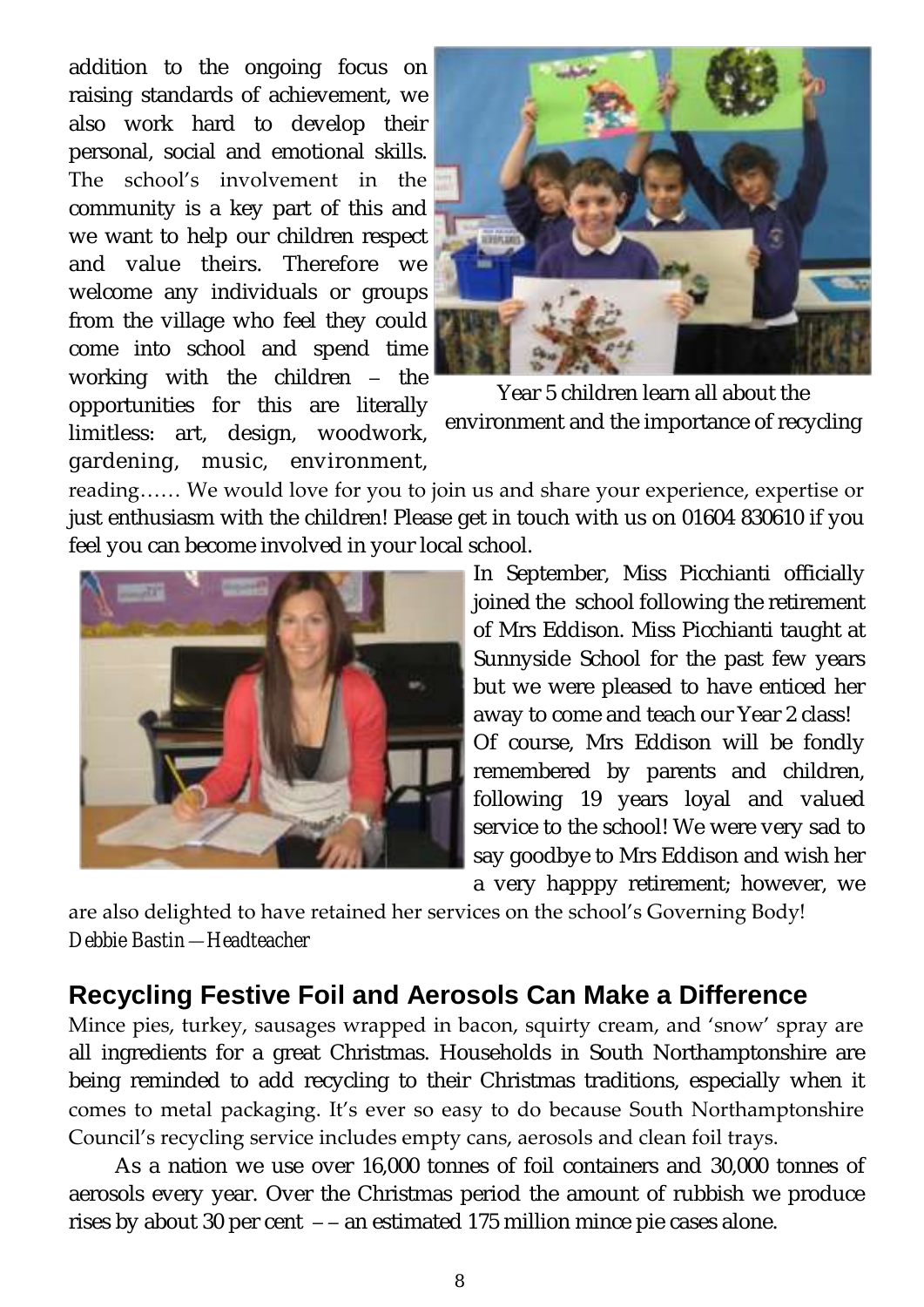addition to the ongoing focus on raising standards of achievement, we also work hard to develop their personal, social and emotional skills. The school's involvement in the community is a key part of this and we want to help our children respect and value theirs. Therefore we welcome any individuals or groups from the village who feel they could come into school and spend time working with the children – the opportunities for this are literally limitless: art, design, woodwork, gardening, music, environment,



Year 5 children learn all about the environment and the importance of recycling

reading…… We would love for you to join us and share your experience, expertise or just enthusiasm with the children! Please get in touch with us on 01604 830610 if you feel you can become involved in your local school.



In September, Miss Picchianti officially joined the school following the retirement of Mrs Eddison. Miss Picchianti taught at Sunnyside School for the past few years but we were pleased to have enticed her away to come and teach our Year 2 class! Of course, Mrs Eddison will be fondly remembered by parents and children, following 19 years loyal and valued service to the school! We were very sad to say goodbye to Mrs Eddison and wish her a very happpy retirement; however, we

are also delighted to have retained her services on the school's Governing Body! *Debbie Bastin—Headteacher*

# **Recycling Festive Foil and Aerosols Can Make a Difference**

Mince pies, turkey, sausages wrapped in bacon, squirty cream, and 'snow' spray are all ingredients for a great Christmas. Households in South Northamptonshire are being reminded to add recycling to their Christmas traditions, especially when it comes to metal packaging. It's ever so easy to do because South Northamptonshire Council's recycling service includes empty cans, aerosols and clean foil trays.

As a nation we use over 16,000 tonnes of foil containers and 30,000 tonnes of aerosols every year. Over the Christmas period the amount of rubbish we produce rises by about 30 per cent – – an estimated 175 million mince pie cases alone.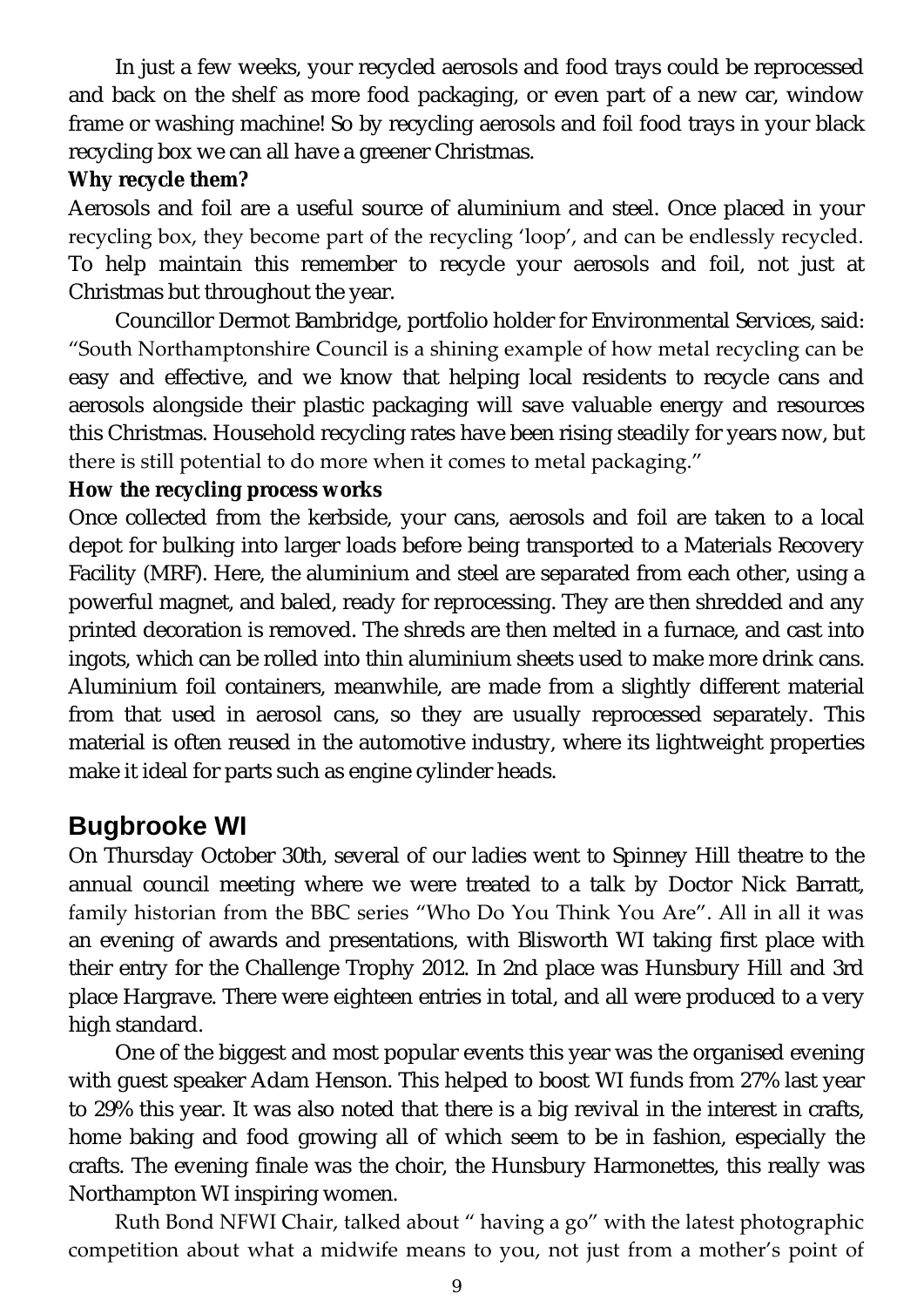In just a few weeks, your recycled aerosols and food trays could be reprocessed and back on the shelf as more food packaging, or even part of a new car, window frame or washing machine! So by recycling aerosols and foil food trays in your black recycling box we can all have a greener Christmas.

**Why recycle them?**

Aerosols and foil are a useful source of aluminium and steel. Once placed in your recycling box, they become part of the recycling 'loop', and can be endlessly recycled. To help maintain this remember to recycle your aerosols and foil, not just at Christmas but throughout the year.

Councillor Dermot Bambridge, portfolio holder for Environmental Services, said: "South Northamptonshire Council is a shining example of how metal recycling can be easy and effective, and we know that helping local residents to recycle cans and aerosols alongside their plastic packaging will save valuable energy and resources this Christmas. Household recycling rates have been rising steadily for years now, but there is still potential to do more when it comes to metal packaging."

**How the recycling process works** 

Once collected from the kerbside, your cans, aerosols and foil are taken to a local depot for bulking into larger loads before being transported to a Materials Recovery Facility (MRF). Here, the aluminium and steel are separated from each other, using a powerful magnet, and baled, ready for reprocessing. They are then shredded and any printed decoration is removed. The shreds are then melted in a furnace, and cast into ingots, which can be rolled into thin aluminium sheets used to make more drink cans. Aluminium foil containers, meanwhile, are made from a slightly different material from that used in aerosol cans, so they are usually reprocessed separately. This material is often reused in the automotive industry, where its lightweight properties make it ideal for parts such as engine cylinder heads.

# **Bugbrooke WI**

On Thursday October 30th, several of our ladies went to Spinney Hill theatre to the annual council meeting where we were treated to a talk by Doctor Nick Barratt, family historian from the BBC series "Who Do You Think You Are". All in all it was an evening of awards and presentations, with Blisworth WI taking first place with their entry for the Challenge Trophy 2012. In 2nd place was Hunsbury Hill and 3rd place Hargrave. There were eighteen entries in total, and all were produced to a very high standard.

One of the biggest and most popular events this year was the organised evening with guest speaker Adam Henson. This helped to boost WI funds from 27% last year to 29% this year. It was also noted that there is a big revival in the interest in crafts, home baking and food growing all of which seem to be in fashion, especially the crafts. The evening finale was the choir, the Hunsbury Harmonettes, this really was Northampton WI inspiring women.

Ruth Bond NFWI Chair, talked about " having a go" with the latest photographic competition about what a midwife means to you, not just from a mother's point of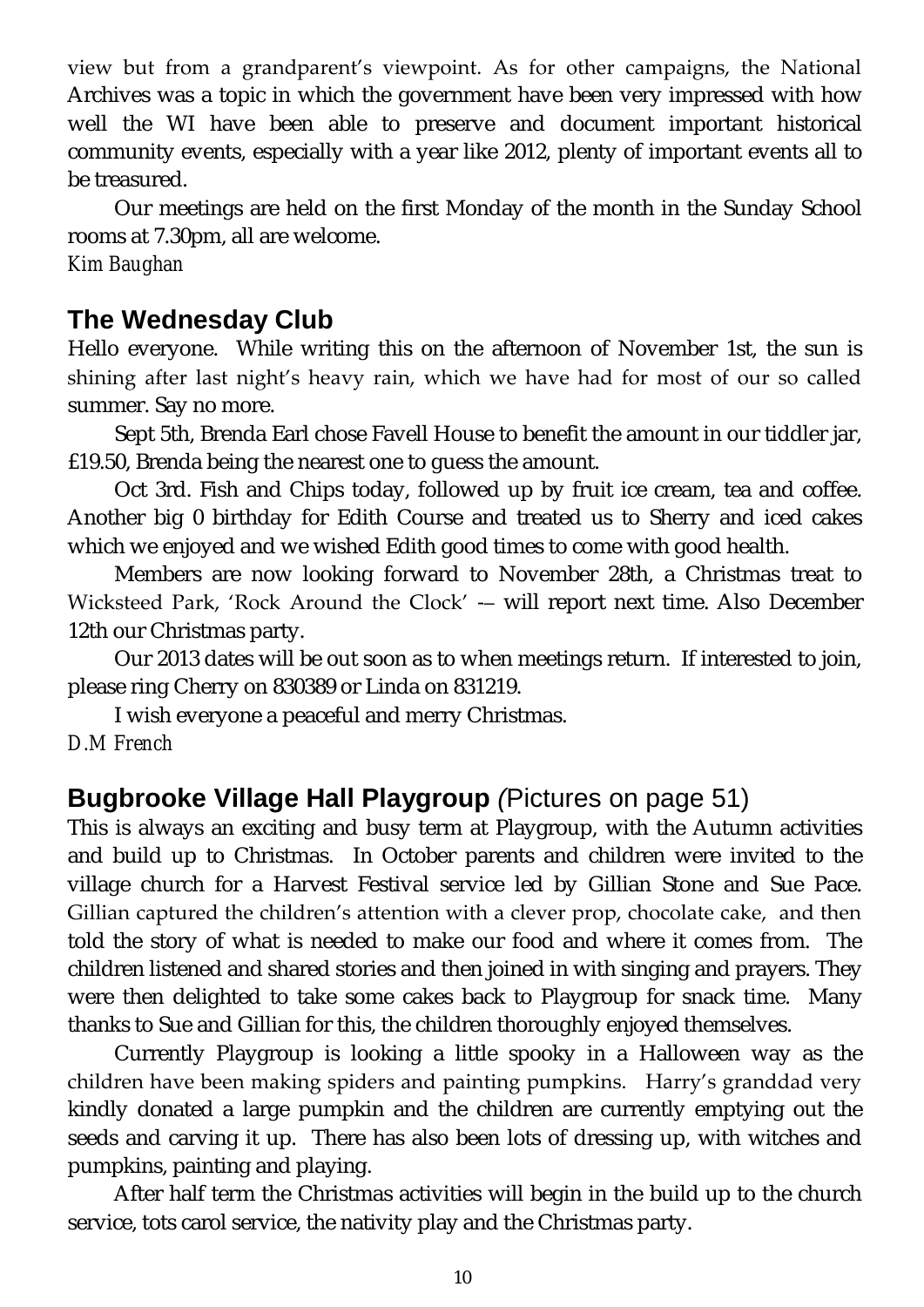view but from a grandparent's viewpoint. As for other campaigns, the National Archives was a topic in which the government have been very impressed with how well the WI have been able to preserve and document important historical community events, especially with a year like 2012, plenty of important events all to be treasured.

Our meetings are held on the first Monday of the month in the Sunday School rooms at 7.30pm, all are welcome.

*Kim Baughan*

# **The Wednesday Club**

Hello everyone. While writing this on the afternoon of November 1st, the sun is shining after last night's heavy rain, which we have had for most of our so called summer. Say no more.

Sept 5th, Brenda Earl chose Favell House to benefit the amount in our tiddler jar, £19.50, Brenda being the nearest one to guess the amount.

Oct 3rd. Fish and Chips today, followed up by fruit ice cream, tea and coffee. Another big 0 birthday for Edith Course and treated us to Sherry and iced cakes which we enjoyed and we wished Edith good times to come with good health.

Members are now looking forward to November 28th, a Christmas treat to Wicksteed Park, 'Rock Around the Clock' -– will report next time. Also December 12th our Christmas party.

Our 2013 dates will be out soon as to when meetings return. If interested to join, please ring Cherry on 830389 or Linda on 831219.

I wish everyone a peaceful and merry Christmas.

*D.M French*

# **Bugbrooke Village Hall Playgroup** *(*Pictures on page 51)

This is always an exciting and busy term at Playgroup, with the Autumn activities and build up to Christmas. In October parents and children were invited to the village church for a Harvest Festival service led by Gillian Stone and Sue Pace. Gillian captured the children's attention with a clever prop, chocolate cake, and then told the story of what is needed to make our food and where it comes from. The children listened and shared stories and then joined in with singing and prayers. They were then delighted to take some cakes back to Playgroup for snack time. Many thanks to Sue and Gillian for this, the children thoroughly enjoyed themselves.

Currently Playgroup is looking a little spooky in a Halloween way as the children have been making spiders and painting pumpkins. Harry's granddad very kindly donated a large pumpkin and the children are currently emptying out the seeds and carving it up. There has also been lots of dressing up, with witches and pumpkins, painting and playing.

After half term the Christmas activities will begin in the build up to the church service, tots carol service, the nativity play and the Christmas party.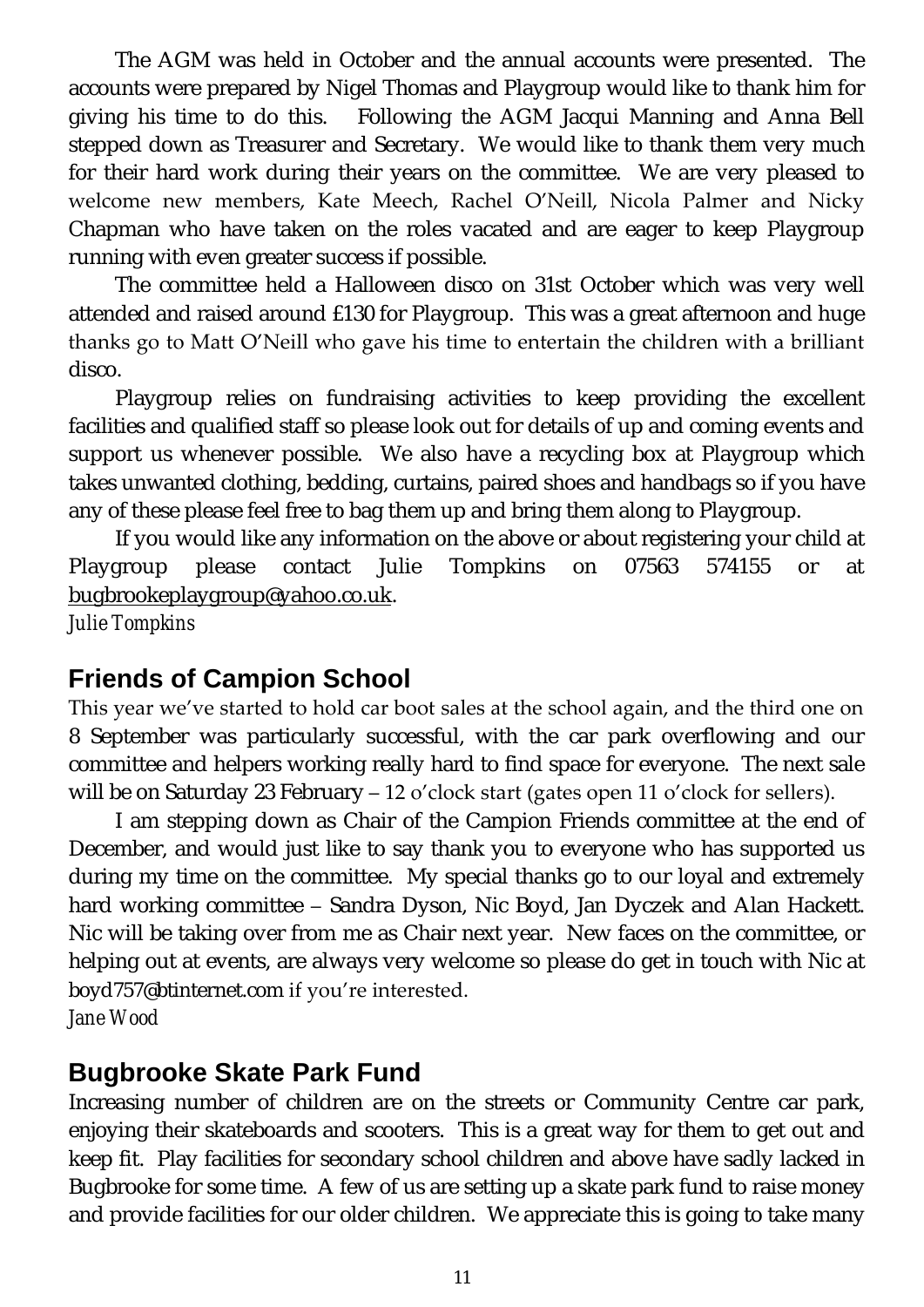The AGM was held in October and the annual accounts were presented. The accounts were prepared by Nigel Thomas and Playgroup would like to thank him for giving his time to do this. Following the AGM Jacqui Manning and Anna Bell stepped down as Treasurer and Secretary. We would like to thank them very much for their hard work during their years on the committee. We are very pleased to welcome new members, Kate Meech, Rachel O'Neill, Nicola Palmer and Nicky Chapman who have taken on the roles vacated and are eager to keep Playgroup running with even greater success if possible.

The committee held a Halloween disco on 31st October which was very well attended and raised around £130 for Playgroup. This was a great afternoon and huge thanks go to Matt O'Neill who gave his time to entertain the children with a brilliant disco.

Playgroup relies on fundraising activities to keep providing the excellent facilities and qualified staff so please look out for details of up and coming events and support us whenever possible. We also have a recycling box at Playgroup which takes unwanted clothing, bedding, curtains, paired shoes and handbags so if you have any of these please feel free to bag them up and bring them along to Playgroup.

If you would like any information on the above or about registering your child at Playgroup please contact Julie Tompkins on 07563 574155 or at [bugbrookeplaygroup@yahoo.co.uk.](mailto:bugbrookeplaygroup@yahoo.co.uk)

*Julie Tompkins* 

#### **Friends of Campion School**

This year we've started to hold car boot sales at the school again, and the third one on 8 September was particularly successful, with the car park overflowing and our committee and helpers working really hard to find space for everyone. The next sale will be on Saturday 23 February – 12 o'clock start (gates open 11 o'clock for sellers).

I am stepping down as Chair of the Campion Friends committee at the end of December, and would just like to say thank you to everyone who has supported us during my time on the committee. My special thanks go to our loyal and extremely hard working committee – Sandra Dyson, Nic Boyd, Jan Dyczek and Alan Hackett. Nic will be taking over from me as Chair next year. New faces on the committee, or helping out at events, are always very welcome so please do get in touch with Nic at boyd757@btinternet.com if you're interested.

*Jane Wood*

#### **Bugbrooke Skate Park Fund**

Increasing number of children are on the streets or Community Centre car park, enjoying their skateboards and scooters. This is a great way for them to get out and keep fit. Play facilities for secondary school children and above have sadly lacked in Bugbrooke for some time. A few of us are setting up a skate park fund to raise money and provide facilities for our older children. We appreciate this is going to take many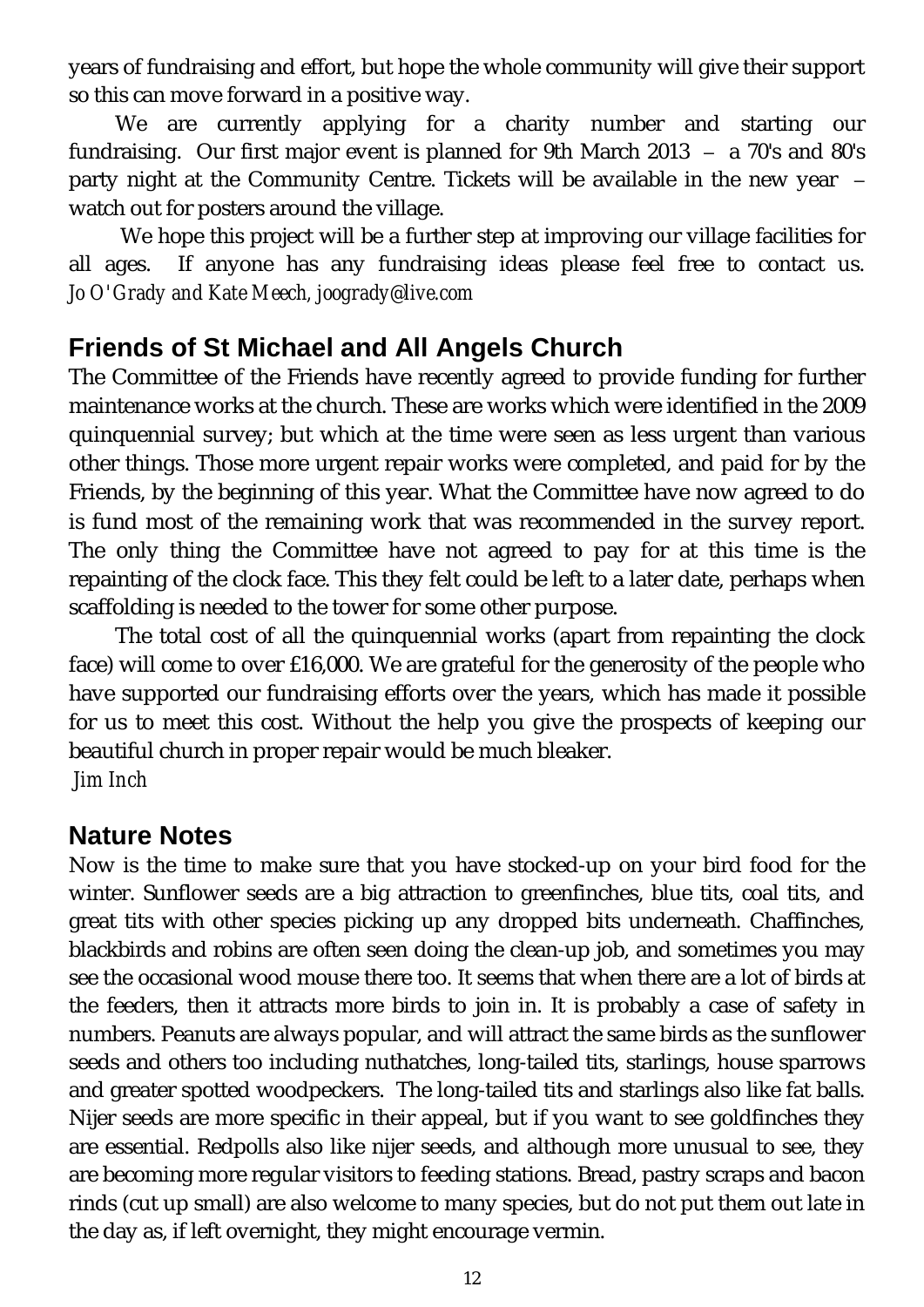years of fundraising and effort, but hope the whole community will give their support so this can move forward in a positive way.

We are currently applying for a charity number and starting our fundraising. Our first major event is planned for 9th March 2013 – a 70's and 80's party night at the Community Centre. Tickets will be available in the new year – watch out for posters around the village.

We hope this project will be a further step at improving our village facilities for all ages. If anyone has any fundraising ideas please feel free to contact us. *Jo O'Grady and Kate Meech, joogrady@live.com* 

# **Friends of St Michael and All Angels Church**

The Committee of the Friends have recently agreed to provide funding for further maintenance works at the church. These are works which were identified in the 2009 quinquennial survey; but which at the time were seen as less urgent than various other things. Those more urgent repair works were completed, and paid for by the Friends, by the beginning of this year. What the Committee have now agreed to do is fund most of the remaining work that was recommended in the survey report. The only thing the Committee have not agreed to pay for at this time is the repainting of the clock face. This they felt could be left to a later date, perhaps when scaffolding is needed to the tower for some other purpose.

The total cost of all the quinquennial works (apart from repainting the clock face) will come to over £16,000. We are grateful for the generosity of the people who have supported our fundraising efforts over the years, which has made it possible for us to meet this cost. Without the help you give the prospects of keeping our beautiful church in proper repair would be much bleaker. *Jim Inch*

# **Nature Notes**

Now is the time to make sure that you have stocked-up on your bird food for the winter. Sunflower seeds are a big attraction to greenfinches, blue tits, coal tits, and great tits with other species picking up any dropped bits underneath. Chaffinches, blackbirds and robins are often seen doing the clean-up job, and sometimes you may see the occasional wood mouse there too. It seems that when there are a lot of birds at the feeders, then it attracts more birds to join in. It is probably a case of safety in numbers. Peanuts are always popular, and will attract the same birds as the sunflower seeds and others too including nuthatches, long-tailed tits, starlings, house sparrows and greater spotted woodpeckers. The long-tailed tits and starlings also like fat balls. Nijer seeds are more specific in their appeal, but if you want to see goldfinches they are essential. Redpolls also like nijer seeds, and although more unusual to see, they are becoming more regular visitors to feeding stations. Bread, pastry scraps and bacon rinds (cut up small) are also welcome to many species, but do not put them out late in the day as, if left overnight, they might encourage vermin.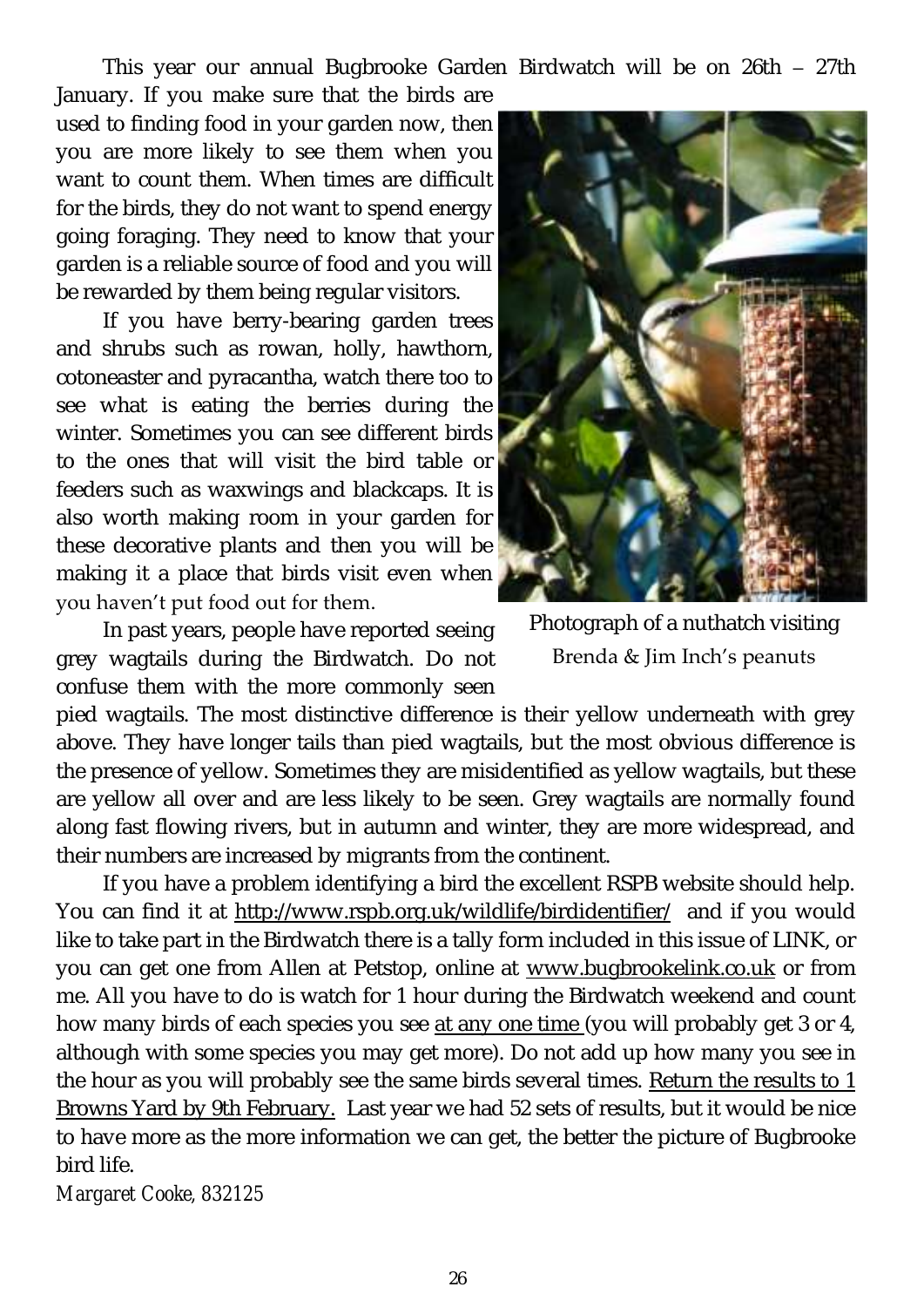This year our annual Bugbrooke Garden Birdwatch will be on 26th – 27th

January. If you make sure that the birds are used to finding food in your garden now, then you are more likely to see them when you want to count them. When times are difficult for the birds, they do not want to spend energy going foraging. They need to know that your garden is a reliable source of food and you will be rewarded by them being regular visitors.

If you have berry-bearing garden trees and shrubs such as rowan, holly, hawthorn, cotoneaster and pyracantha, watch there too to see what is eating the berries during the winter. Sometimes you can see different birds to the ones that will visit the bird table or feeders such as waxwings and blackcaps. It is also worth making room in your garden for these decorative plants and then you will be making it a place that birds visit even when you haven't put food out for them.

In past years, people have reported seeing grey wagtails during the Birdwatch. Do not confuse them with the more commonly seen

pied wagtails. The most distinctive difference is their yellow underneath with grey above. They have longer tails than pied wagtails, but the most obvious difference is the presence of yellow. Sometimes they are misidentified as yellow wagtails, but these are yellow all over and are less likely to be seen. Grey wagtails are normally found along fast flowing rivers, but in autumn and winter, they are more widespread, and their numbers are increased by migrants from the continent.

If you have a problem identifying a bird the excellent RSPB website should help. You can find it at <http://www.rspb.org.uk/wildlife/birdidentifier/>and if you would like to take part in the Birdwatch there is a tally form included in this issue of LINK, or you can get one from Allen at Petstop, online at [www.bugbrookelink.co.uk](http://www.bugbrookelink.co.uk) or from me. All you have to do is watch for 1 hour during the Birdwatch weekend and count how many birds of each species you see at any one time (you will probably get 3 or 4, although with some species you may get more). Do not add up how many you see in the hour as you will probably see the same birds several times. Return the results to 1 Browns Yard by 9th February. Last year we had 52 sets of results, but it would be nice to have more as the more information we can get, the better the picture of Bugbrooke bird life.

*Margaret Cooke, 832125* 



Photograph of a nuthatch visiting Brenda & Jim Inch's peanuts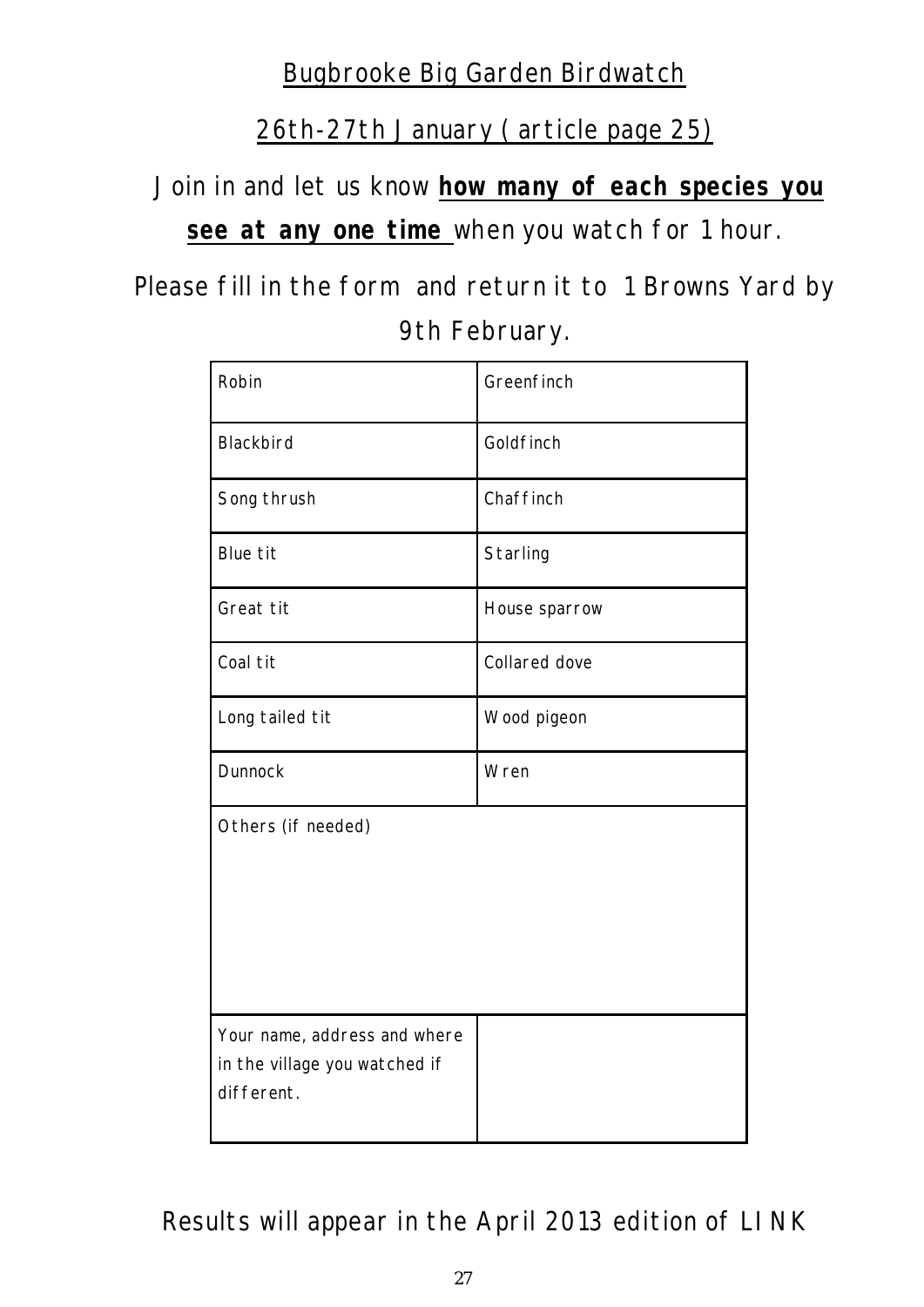# Bugbrooke Big Garden Birdwatch

26th-27th January ( article page 25)

Join in and let us know **how many of each species you see at any one time** when you watch for 1 hour.

Please fill in the form and return it to 1 Browns Yard by 9th February.

| Robin                                                                       | Greenfinch    |
|-----------------------------------------------------------------------------|---------------|
| Blackbird                                                                   | Goldfinch     |
| Song thrush                                                                 | Chaffinch     |
| Blue tit                                                                    | Starling      |
| Great tit                                                                   | House sparrow |
| Coal tit                                                                    | Collared dove |
| Long tailed tit                                                             | Wood pigeon   |
| Dunnock                                                                     | Wren          |
| Others (if needed)                                                          |               |
| Your name, address and where<br>in the village you watched if<br>different. |               |

Results will appear in the April 2013 edition of LINK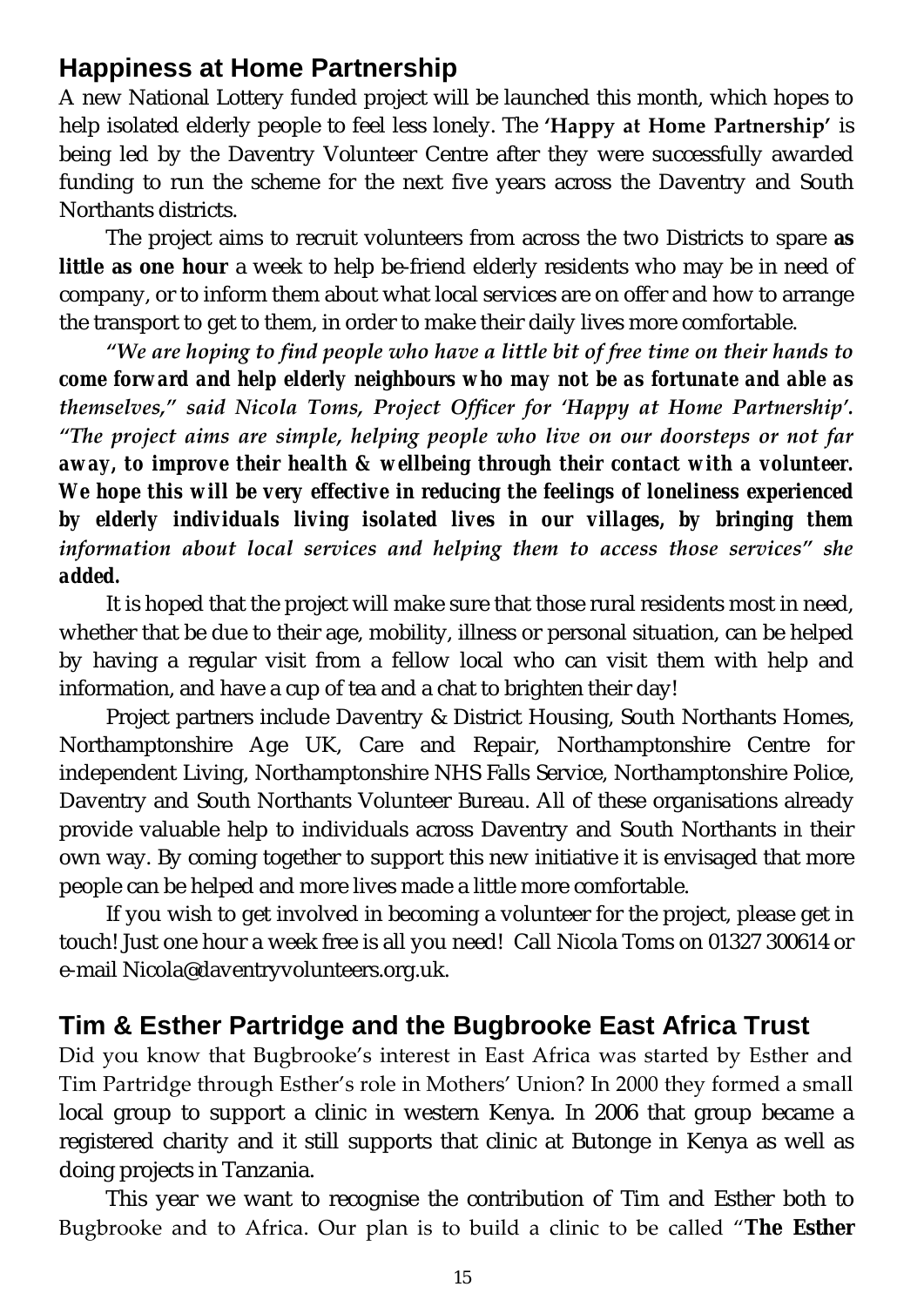# **Happiness at Home Partnership**

A new National Lottery funded project will be launched this month, which hopes to help isolated elderly people to feel less lonely. The **'Happy at Home Partnership'** is being led by the Daventry Volunteer Centre after they were successfully awarded funding to run the scheme for the next five years across the Daventry and South Northants districts.

The project aims to recruit volunteers from across the two Districts to spare **as little as one hour** a week to help be-friend elderly residents who may be in need of company, or to inform them about what local services are on offer and how to arrange the transport to get to them, in order to make their daily lives more comfortable.

*"We are hoping to find people who have a little bit of free time on their hands to come forward and help elderly neighbours who may not be as fortunate and able as themselves," said Nicola Toms, Project Officer for 'Happy at Home Partnership'. "The project aims are simple, helping people who live on our doorsteps or not far away, to improve their health & wellbeing through their contact with a volunteer. We hope this will be very effective in reducing the feelings of loneliness experienced by elderly individuals living isolated lives in our villages, by bringing them information about local services and helping them to access those services" she added.* 

It is hoped that the project will make sure that those rural residents most in need, whether that be due to their age, mobility, illness or personal situation, can be helped by having a regular visit from a fellow local who can visit them with help and information, and have a cup of tea and a chat to brighten their day!

Project partners include Daventry & District Housing, South Northants Homes, Northamptonshire Age UK, Care and Repair, Northamptonshire Centre for independent Living, Northamptonshire NHS Falls Service, Northamptonshire Police, Daventry and South Northants Volunteer Bureau. All of these organisations already provide valuable help to individuals across Daventry and South Northants in their own way. By coming together to support this new initiative it is envisaged that more people can be helped and more lives made a little more comfortable.

If you wish to get involved in becoming a volunteer for the project, please get in touch! Just one hour a week free is all you need! Call Nicola Toms on 01327 300614 or e-mail Nicola@daventryvolunteers.org.uk.

# **Tim & Esther Partridge and the Bugbrooke East Africa Trust**

Did you know that Bugbrooke's interest in East Africa was started by Esther and Tim Partridge through Esther's role in Mothers' Union? In 2000 they formed a small local group to support a clinic in western Kenya. In 2006 that group became a registered charity and it still supports that clinic at Butonge in Kenya as well as doing projects in Tanzania.

This year we want to recognise the contribution of Tim and Esther both to Bugbrooke and to Africa. Our plan is to build a clinic to be called "**The Esther**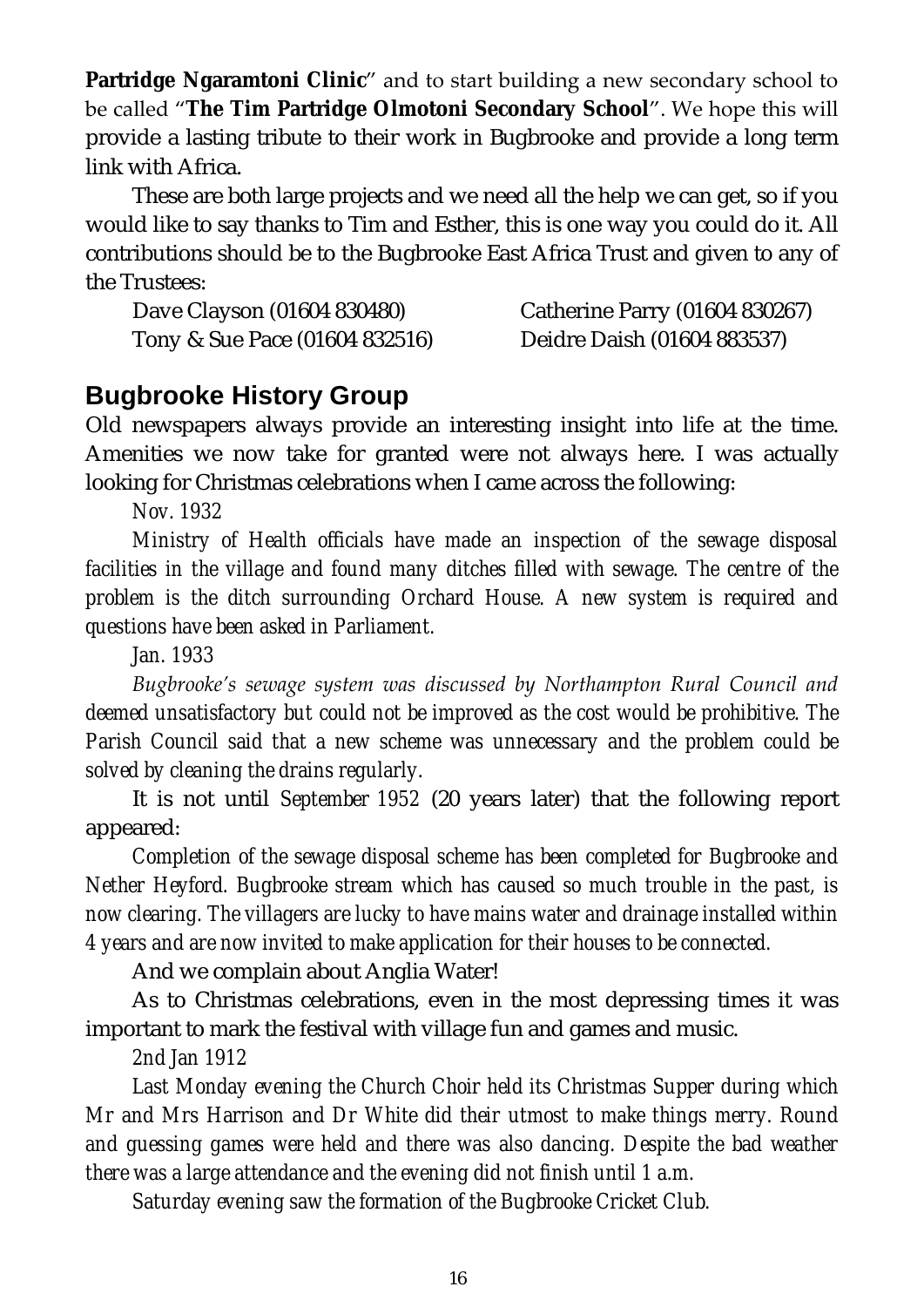**Partridge Ngaramtoni Clinic**" and to start building a new secondary school to be called "**The Tim Partridge Olmotoni Secondary School**". We hope this will provide a lasting tribute to their work in Bugbrooke and provide a long term link with Africa.

These are both large projects and we need all the help we can get, so if you would like to say thanks to Tim and Esther, this is one way you could do it. All contributions should be to the Bugbrooke East Africa Trust and given to any of the Trustees:

Dave Clayson (01604 830480) Catherine Parry (01604 830267) Tony & Sue Pace (01604 832516) Deidre Daish (01604 883537)

#### **Bugbrooke History Group**

Old newspapers always provide an interesting insight into life at the time. Amenities we now take for granted were not always here. I was actually looking for Christmas celebrations when I came across the following:

*Nov. 1932* 

*Ministry of Health officials have made an inspection of the sewage disposal*  facilities in the village and found many ditches filled with sewage. The centre of the *problem is the ditch surrounding Orchard House. A new system is required and questions have been asked in Parliament.*

*Jan. 1933*

*Bugbrooke's sewage system was discussed by Northampton Rural Council and deemed unsatisfactory but could not be improved as the cost would be prohibitive. The Parish Council said that a new scheme was unnecessary and the problem could be solved by cleaning the drains regularly.*

It is not until *September 1952* (20 years later) that the following report appeared:

*Completion of the sewage disposal scheme has been completed for Bugbrooke and Nether Heyford. Bugbrooke stream which has caused so much trouble in the past, is now clearing. The villagers are lucky to have mains water and drainage installed within 4 years and are now invited to make application for their houses to be connected.*

And we complain about Anglia Water!

As to Christmas celebrations, even in the most depressing times it was important to mark the festival with village fun and games and music.

*2nd Jan 1912*

*Last Monday evening the Church Choir held its Christmas Supper during which Mr and Mrs Harrison and Dr White did their utmost to make things merry. Round and guessing games were held and there was also dancing. Despite the bad weather there was a large attendance and the evening did not finish until 1 a.m.*

*Saturday evening saw the formation of the Bugbrooke Cricket Club.*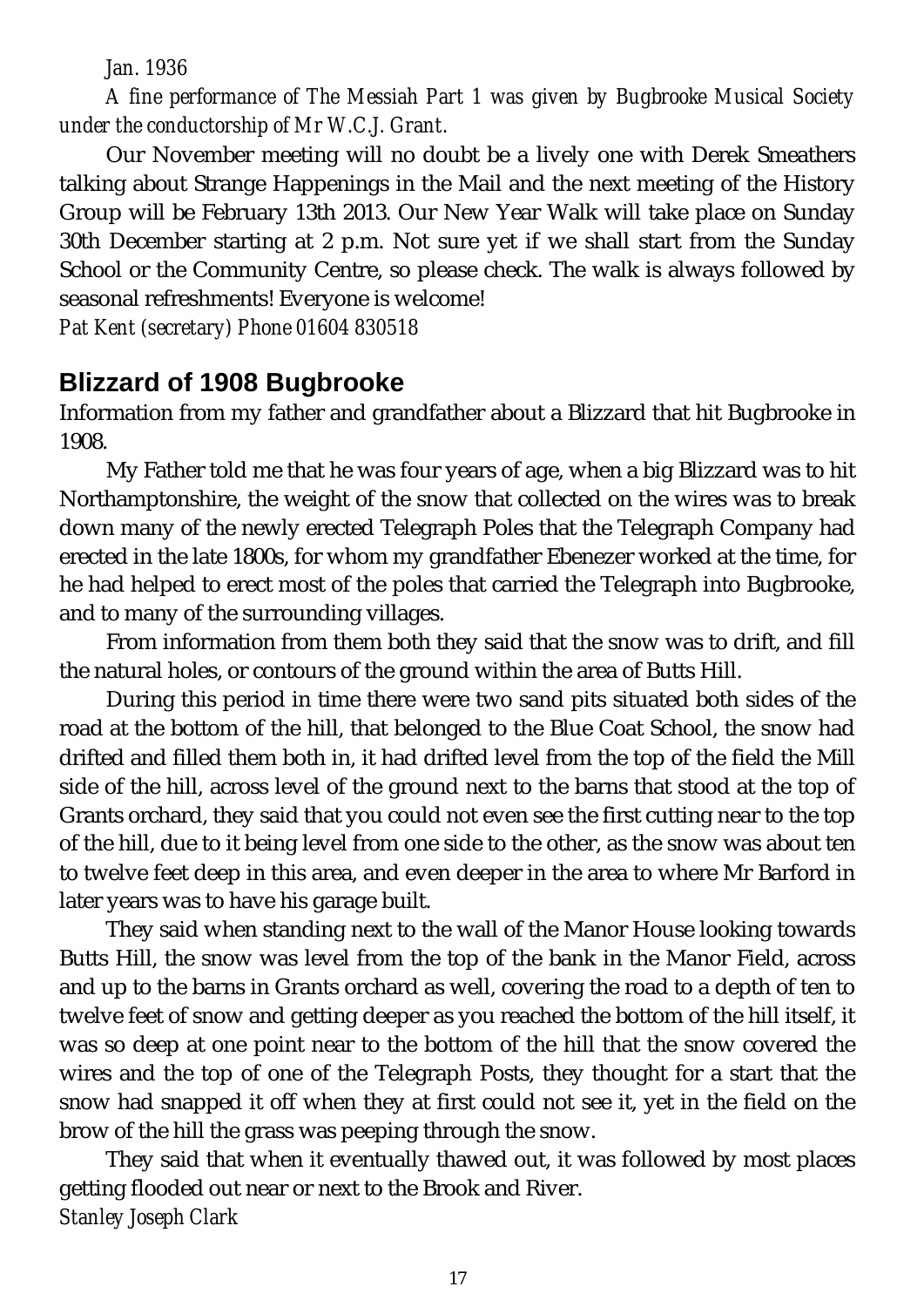*Jan. 1936*

*A fine performance of The Messiah Part 1 was given by Bugbrooke Musical Society under the conductorship of Mr W.C.J. Grant.*

Our November meeting will no doubt be a lively one with Derek Smeathers talking about Strange Happenings in the Mail and the next meeting of the History Group will be February 13th 2013. Our New Year Walk will take place on Sunday 30th December starting at 2 p.m. Not sure yet if we shall start from the Sunday School or the Community Centre, so please check. The walk is always followed by seasonal refreshments! Everyone is welcome!

*Pat Kent (secretary) Phone 01604 830518*

# **Blizzard of 1908 Bugbrooke**

Information from my father and grandfather about a Blizzard that hit Bugbrooke in 1908.

My Father told me that he was four years of age, when a big Blizzard was to hit Northamptonshire, the weight of the snow that collected on the wires was to break down many of the newly erected Telegraph Poles that the Telegraph Company had erected in the late 1800s, for whom my grandfather Ebenezer worked at the time, for he had helped to erect most of the poles that carried the Telegraph into Bugbrooke, and to many of the surrounding villages.

From information from them both they said that the snow was to drift, and fill the natural holes, or contours of the ground within the area of Butts Hill.

During this period in time there were two sand pits situated both sides of the road at the bottom of the hill, that belonged to the Blue Coat School, the snow had drifted and filled them both in, it had drifted level from the top of the field the Mill side of the hill, across level of the ground next to the barns that stood at the top of Grants orchard, they said that you could not even see the first cutting near to the top of the hill, due to it being level from one side to the other, as the snow was about ten to twelve feet deep in this area, and even deeper in the area to where Mr Barford in later years was to have his garage built.

They said when standing next to the wall of the Manor House looking towards Butts Hill, the snow was level from the top of the bank in the Manor Field, across and up to the barns in Grants orchard as well, covering the road to a depth of ten to twelve feet of snow and getting deeper as you reached the bottom of the hill itself, it was so deep at one point near to the bottom of the hill that the snow covered the wires and the top of one of the Telegraph Posts, they thought for a start that the snow had snapped it off when they at first could not see it, yet in the field on the brow of the hill the grass was peeping through the snow.

They said that when it eventually thawed out, it was followed by most places getting flooded out near or next to the Brook and River. *Stanley Joseph Clark*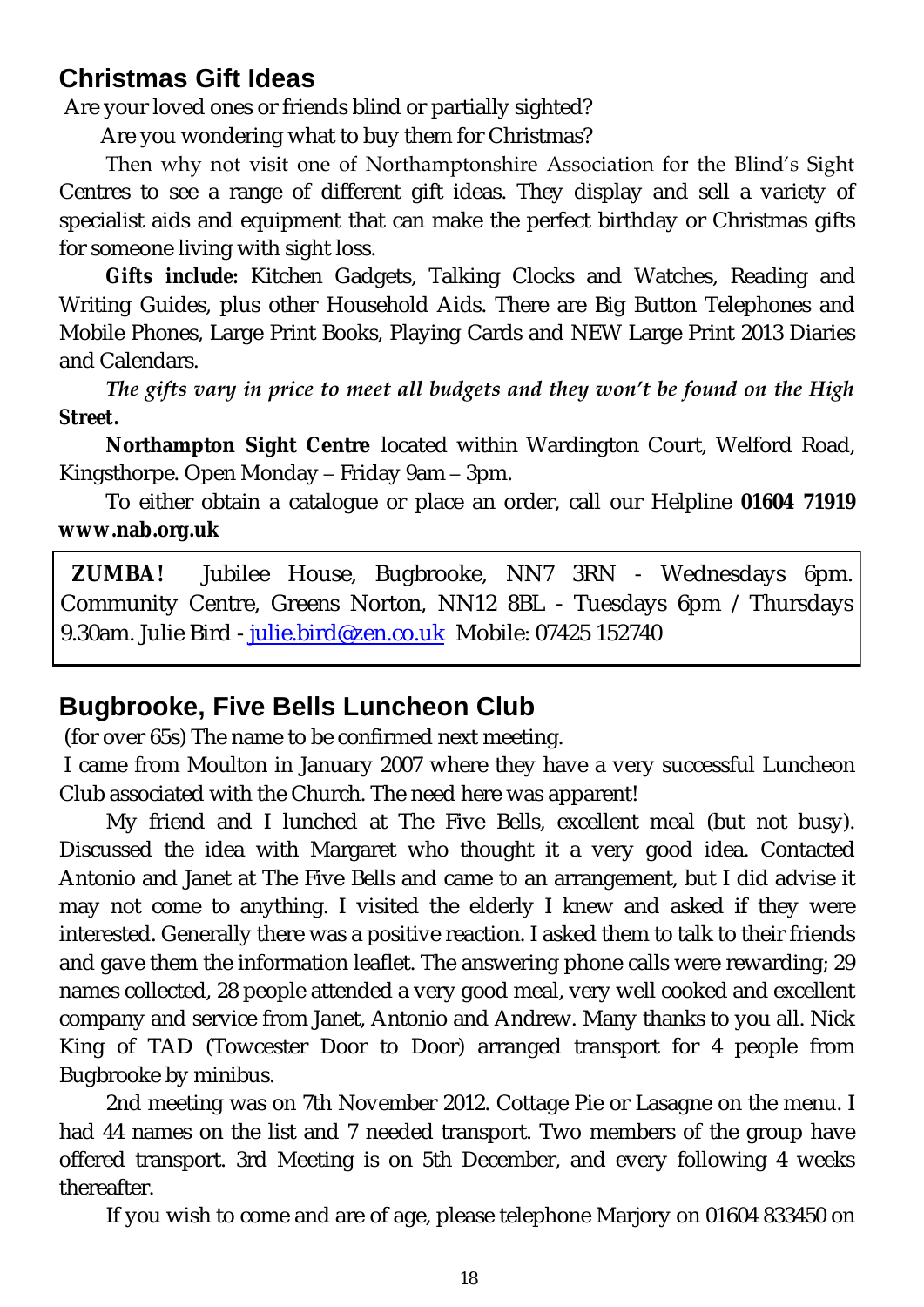# **Christmas Gift Ideas**

Are your loved ones or friends blind or partially sighted?

Are you wondering what to buy them for Christmas?

Then why not visit one of Northamptonshire Association for the Blind's Sight Centres to see a range of different gift ideas. They display and sell a variety of specialist aids and equipment that can make the perfect birthday or Christmas gifts for someone living with sight loss.

*Gifts include:* Kitchen Gadgets, Talking Clocks and Watches, Reading and Writing Guides, plus other Household Aids. There are Big Button Telephones and Mobile Phones, Large Print Books, Playing Cards and NEW Large Print 2013 Diaries and Calendars.

*The gifts vary in price to meet all budgets and they won't be found on the High Street.*

**Northampton Sight Centre** located within Wardington Court, Welford Road, Kingsthorpe. Open Monday – Friday 9am – 3pm.

To either obtain a catalogue or place an order, call our Helpline **01604 71919 [www.nab.org.uk](http://www.nab.org.uk)**

**ZUMBA!** Jubilee House, Bugbrooke, NN7 3RN - Wednesdays 6pm. Community Centre, Greens Norton, NN12 8BL - Tuesdays 6pm / Thursdays 9.30am. Julie Bird - [julie.bird@zen.co.uk](mailto:julie.bird@zen.co.uk) Mobile: 07425 152740

# **Bugbrooke, Five Bells Luncheon Club**

(for over 65s) The name to be confirmed next meeting.

I came from Moulton in January 2007 where they have a very successful Luncheon Club associated with the Church. The need here was apparent!

My friend and I lunched at The Five Bells, excellent meal (but not busy). Discussed the idea with Margaret who thought it a very good idea. Contacted Antonio and Janet at The Five Bells and came to an arrangement, but I did advise it may not come to anything. I visited the elderly I knew and asked if they were interested. Generally there was a positive reaction. I asked them to talk to their friends and gave them the information leaflet. The answering phone calls were rewarding; 29 names collected, 28 people attended a very good meal, very well cooked and excellent company and service from Janet, Antonio and Andrew. Many thanks to you all. Nick King of TAD (Towcester Door to Door) arranged transport for 4 people from Bugbrooke by minibus.

2nd meeting was on 7th November 2012. Cottage Pie or Lasagne on the menu. I had 44 names on the list and 7 needed transport. Two members of the group have offered transport. 3rd Meeting is on 5th December, and every following 4 weeks thereafter.

If you wish to come and are of age, please telephone Marjory on 01604 833450 on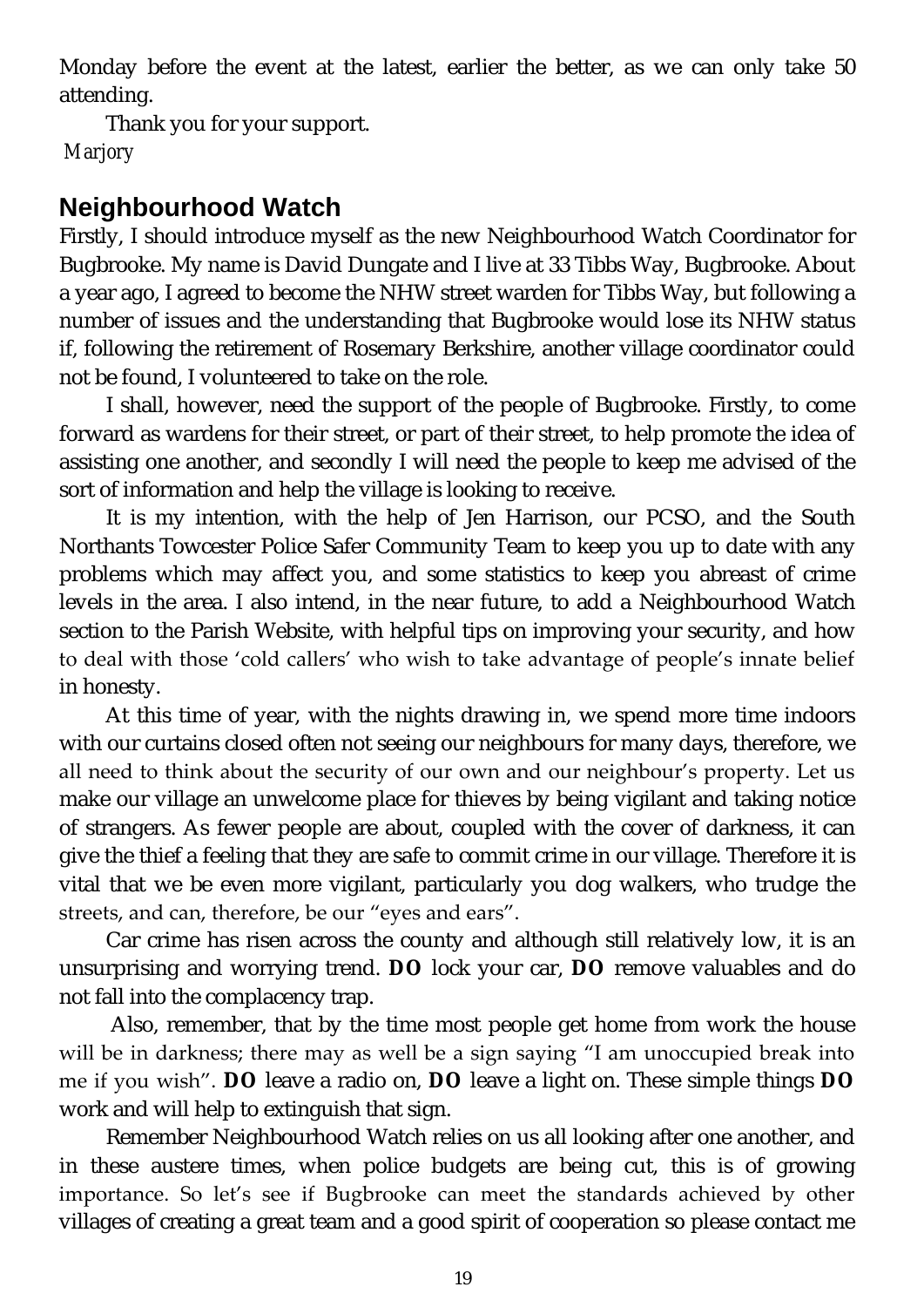Monday before the event at the latest, earlier the better, as we can only take 50 attending.

Thank you for your support. *Marjory*

# **Neighbourhood Watch**

Firstly, I should introduce myself as the new Neighbourhood Watch Coordinator for Bugbrooke. My name is David Dungate and I live at 33 Tibbs Way, Bugbrooke. About a year ago, I agreed to become the NHW street warden for Tibbs Way, but following a number of issues and the understanding that Bugbrooke would lose its NHW status if, following the retirement of Rosemary Berkshire, another village coordinator could not be found, I volunteered to take on the role.

I shall, however, need the support of the people of Bugbrooke. Firstly, to come forward as wardens for their street, or part of their street, to help promote the idea of assisting one another, and secondly I will need the people to keep me advised of the sort of information and help the village is looking to receive.

It is my intention, with the help of Jen Harrison, our PCSO, and the South Northants Towcester Police Safer Community Team to keep you up to date with any problems which may affect you, and some statistics to keep you abreast of crime levels in the area. I also intend, in the near future, to add a Neighbourhood Watch section to the Parish Website, with helpful tips on improving your security, and how to deal with those 'cold callers' who wish to take advantage of people's innate belief in honesty.

At this time of year, with the nights drawing in, we spend more time indoors with our curtains closed often not seeing our neighbours for many days, therefore, we all need to think about the security of our own and our neighbour's property. Let us make our village an unwelcome place for thieves by being vigilant and taking notice of strangers. As fewer people are about, coupled with the cover of darkness, it can give the thief a feeling that they are safe to commit crime in our village. Therefore it is vital that we be even more vigilant, particularly you dog walkers, who trudge the streets, and can, therefore, be our "eyes and ears".

Car crime has risen across the county and although still relatively low, it is an unsurprising and worrying trend. **DO** lock your car, **DO** remove valuables and do not fall into the complacency trap.

Also, remember, that by the time most people get home from work the house will be in darkness; there may as well be a sign saying "I am unoccupied break into me if you wish". **DO** leave a radio on, **DO** leave a light on. These simple things **DO** work and will help to extinguish that sign.

Remember Neighbourhood Watch relies on us all looking after one another, and in these austere times, when police budgets are being cut, this is of growing importance. So let's see if Bugbrooke can meet the standards achieved by other villages of creating a great team and a good spirit of cooperation so please contact me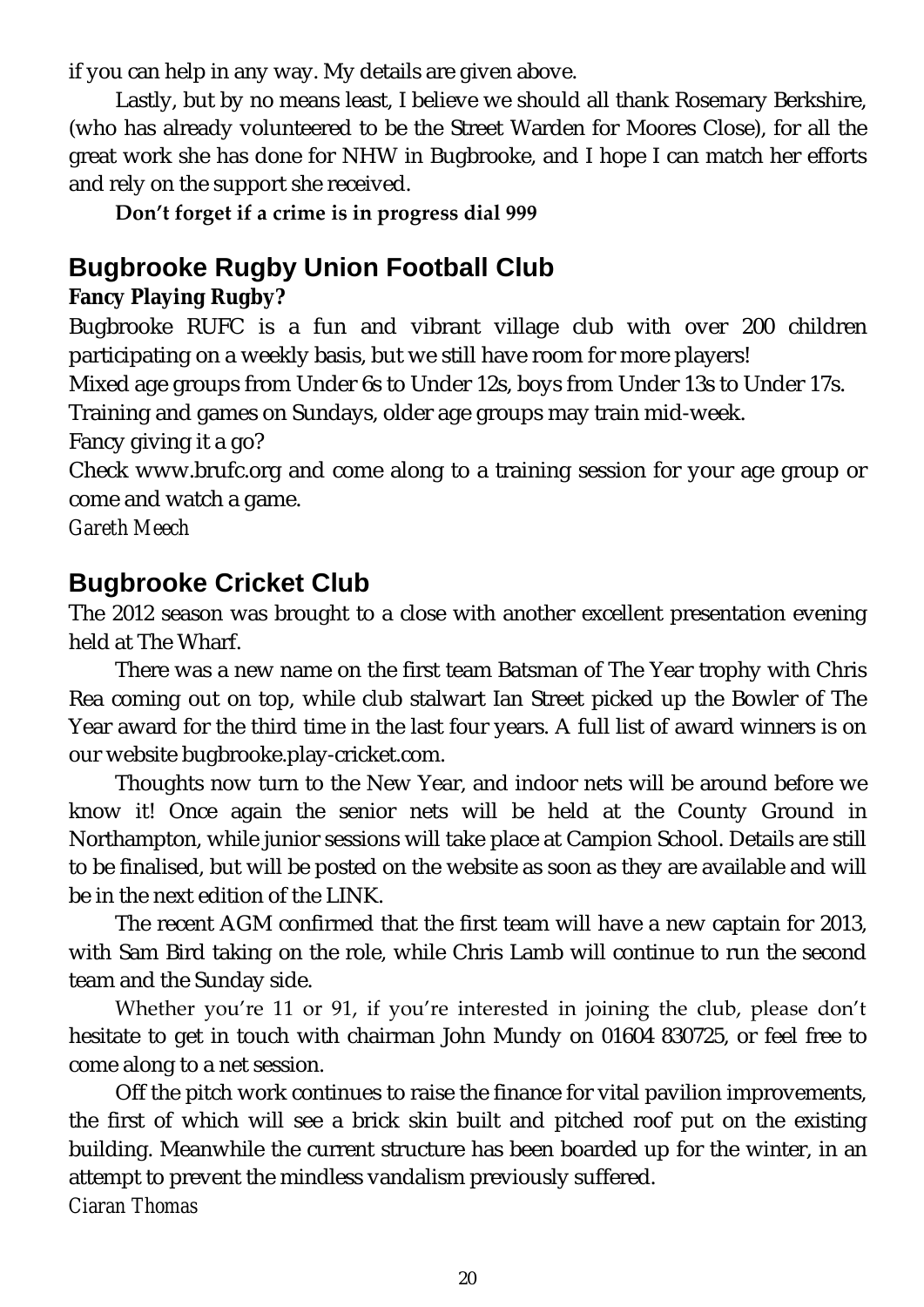if you can help in any way. My details are given above.

Lastly, but by no means least, I believe we should all thank Rosemary Berkshire, (who has already volunteered to be the Street Warden for Moores Close), for all the great work she has done for NHW in Bugbrooke, and I hope I can match her efforts and rely on the support she received.

#### **Don't forget if a crime is in progress dial 999**

# **Bugbrooke Rugby Union Football Club**

**Fancy Playing Rugby?**

Bugbrooke RUFC is a fun and vibrant village club with over 200 children participating on a weekly basis, but we still have room for more players!

Mixed age groups from Under 6s to Under 12s, boys from Under 13s to Under 17s.

Training and games on Sundays, older age groups may train mid-week.

Fancy giving it a go?

Check [www.brufc.org](http://www.brufc.org) and come along to a training session for your age group or come and watch a game.

*Gareth Meech*

# **Bugbrooke Cricket Club**

The 2012 season was brought to a close with another excellent presentation evening held at The Wharf.

There was a new name on the first team Batsman of The Year trophy with Chris Rea coming out on top, while club stalwart Ian Street picked up the Bowler of The Year award for the third time in the last four years. A full list of award winners is on our website bugbrooke.play-cricket.com.

Thoughts now turn to the New Year, and indoor nets will be around before we know it! Once again the senior nets will be held at the County Ground in Northampton, while junior sessions will take place at Campion School. Details are still to be finalised, but will be posted on the website as soon as they are available and will be in the next edition of the LINK.

The recent AGM confirmed that the first team will have a new captain for 2013, with Sam Bird taking on the role, while Chris Lamb will continue to run the second team and the Sunday side.

Whether you're 11 or 91, if you're interested in joining the club, please don't hesitate to get in touch with chairman John Mundy on 01604 830725, or feel free to come along to a net session.

Off the pitch work continues to raise the finance for vital pavilion improvements, the first of which will see a brick skin built and pitched roof put on the existing building. Meanwhile the current structure has been boarded up for the winter, in an attempt to prevent the mindless vandalism previously suffered. *Ciaran Thomas*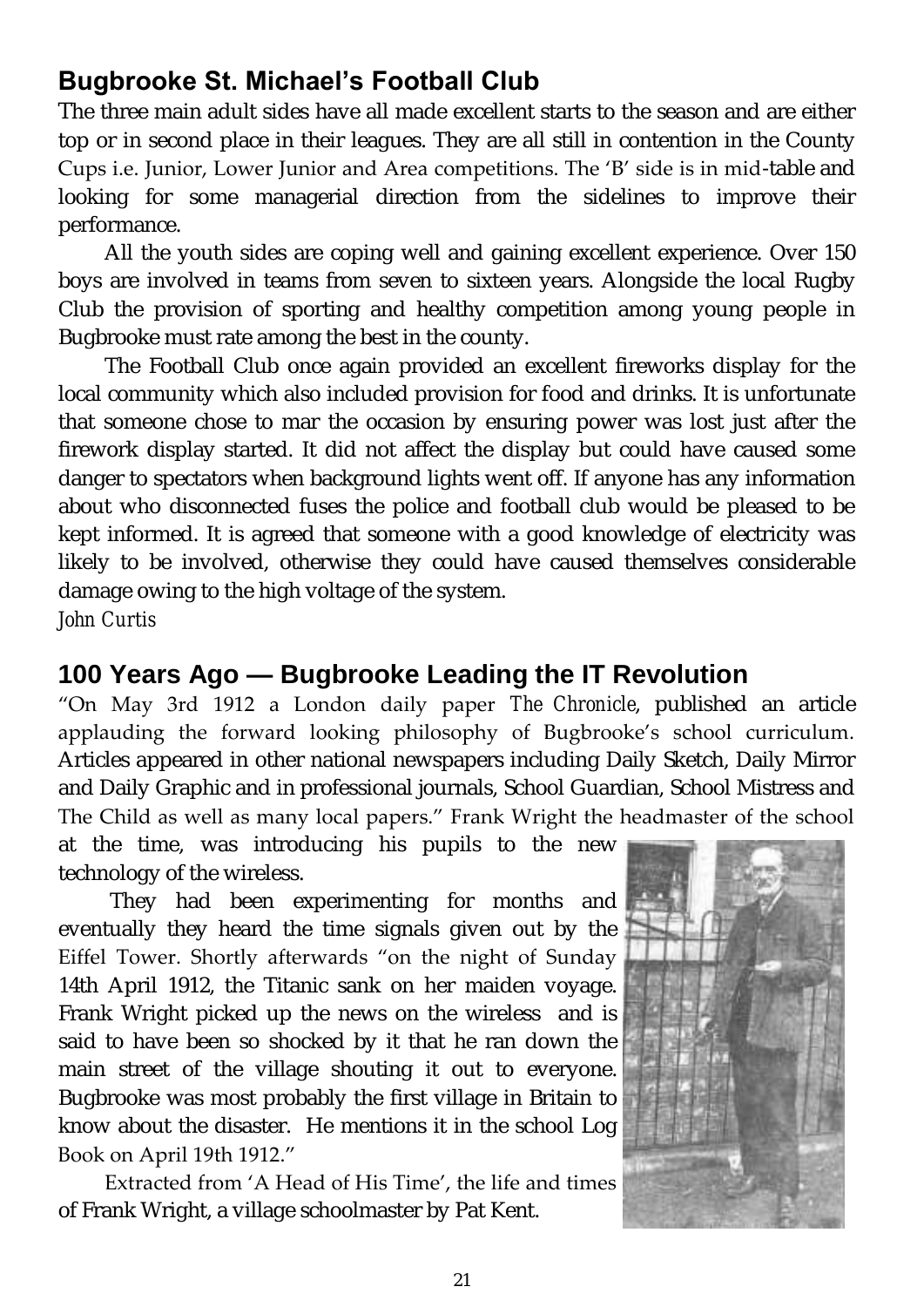# **Bugbrooke St. Michael's Football Club**

The three main adult sides have all made excellent starts to the season and are either top or in second place in their leagues. They are all still in contention in the County Cups i.e. Junior, Lower Junior and Area competitions. The 'B' side is in mid-table and looking for some managerial direction from the sidelines to improve their performance.

All the youth sides are coping well and gaining excellent experience. Over 150 boys are involved in teams from seven to sixteen years. Alongside the local Rugby Club the provision of sporting and healthy competition among young people in Bugbrooke must rate among the best in the county.

The Football Club once again provided an excellent fireworks display for the local community which also included provision for food and drinks. It is unfortunate that someone chose to mar the occasion by ensuring power was lost just after the firework display started. It did not affect the display but could have caused some danger to spectators when background lights went off. If anyone has any information about who disconnected fuses the police and football club would be pleased to be kept informed. It is agreed that someone with a good knowledge of electricity was likely to be involved, otherwise they could have caused themselves considerable damage owing to the high voltage of the system.

*John Curtis*

# **100 Years Ago — Bugbrooke Leading the IT Revolution**

"On May 3rd 1912 a London daily paper *The Chronicle*, published an article applauding the forward looking philosophy of Bugbrooke's school curriculum. Articles appeared in other national newspapers including Daily Sketch, Daily Mirror and Daily Graphic and in professional journals, School Guardian, School Mistress and The Child as well as many local papers." Frank Wright the headmaster of the school

at the time, was introducing his pupils to the new technology of the wireless.

They had been experimenting for months and eventually they heard the time signals given out by the Eiffel Tower. Shortly afterwards "on the night of Sunday 14th April 1912, the Titanic sank on her maiden voyage. Frank Wright picked up the news on the wireless and is said to have been so shocked by it that he ran down the main street of the village shouting it out to everyone. Bugbrooke was most probably the first village in Britain to know about the disaster. He mentions it in the school Log Book on April 19th 1912."

Extracted from 'A Head of His Time', the life and times of Frank Wright, a village schoolmaster by Pat Kent.

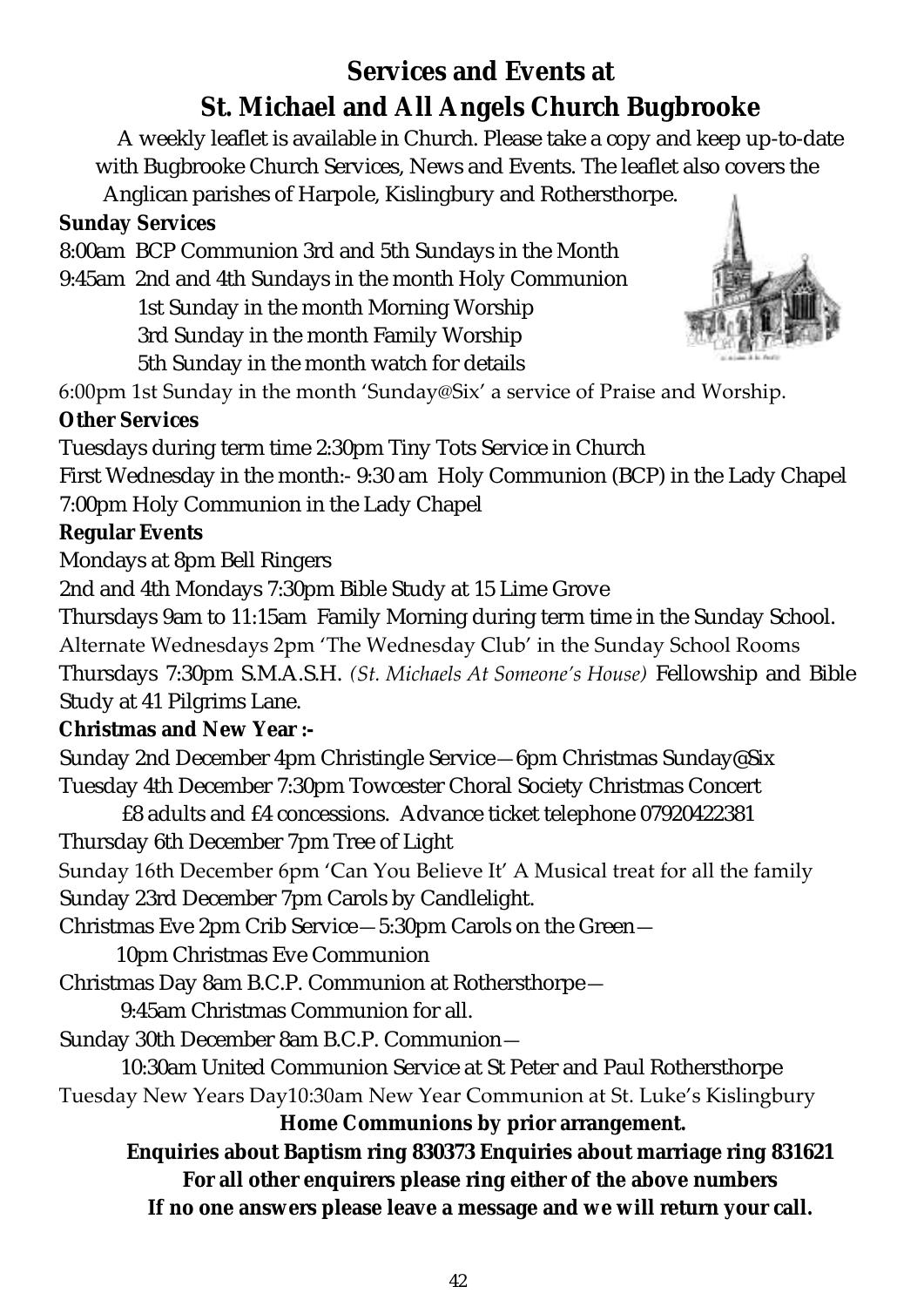# **Services and Events at St. Michael and All Angels Church Bugbrooke**

A weekly leaflet is available in Church. Please take a copy and keep up-to-date with Bugbrooke Church Services, News and Events. The leaflet also covers the

Anglican parishes of Harpole, Kislingbury and Rothersthorpe.

**Sunday Services**

8:00am BCP Communion 3rd and 5th Sundays in the Month

9:45am 2nd and 4th Sundays in the month Holy Communion 1st Sunday in the month Morning Worship 3rd Sunday in the month Family Worship

5th Sunday in the month watch for details



6:00pm 1st Sunday in the month 'Sunday@Six' a service of Praise and Worship. **Other Services**

Tuesdays during term time 2:30pm Tiny Tots Service in Church

First Wednesday in the month:- 9:30 am Holy Communion (BCP) in the Lady Chapel 7:00pm Holy Communion in the Lady Chapel

**Regular Events**

Mondays at 8pm Bell Ringers

2nd and 4th Mondays 7:30pm Bible Study at 15 Lime Grove

Thursdays 9am to 11:15am Family Morning during term time in the Sunday School.

# Alternate Wednesdays 2pm 'The Wednesday Club' in the Sunday School Rooms

Thursdays 7:30pm S.M.A.S.H. *(St. Michaels At Someone's House)* Fellowship and Bible Study at 41 Pilgrims Lane.

**Christmas and New Year :-**

Sunday 2nd December 4pm Christingle Service—6pm Christmas Sunday@Six Tuesday 4th December 7:30pm Towcester Choral Society Christmas Concert

£8 adults and £4 concessions. Advance ticket telephone 07920422381 Thursday 6th December 7pm Tree of Light

Sunday 16th December 6pm 'Can You Believe It' A Musical treat for all the family Sunday 23rd December 7pm Carols by Candlelight.

Christmas Eve 2pm Crib Service—5:30pm Carols on the Green—

10pm Christmas Eve Communion

Christmas Day 8am B.C.P. Communion at Rothersthorpe—

9:45am Christmas Communion for all.

Sunday 30th December 8am B.C.P. Communion—

10:30am United Communion Service at St Peter and Paul Rothersthorpe

Tuesday New Years Day10:30am New Year Communion at St. Luke's Kislingbury **Home Communions by prior arrangement.**

**Enquiries about Baptism ring 830373 Enquiries about marriage ring 831621 For all other enquirers please ring either of the above numbers If no one answers please leave a message and we will return your call.**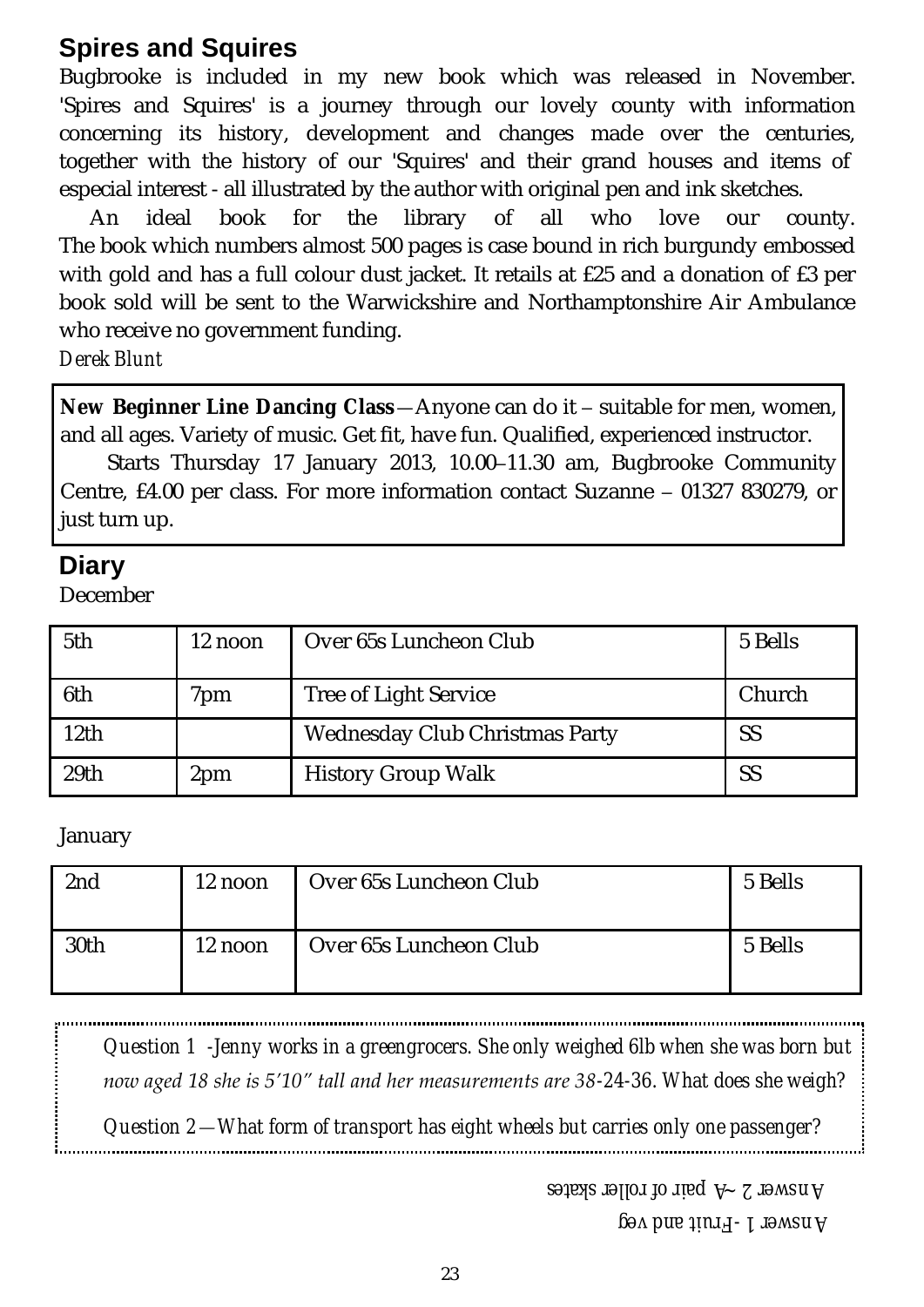# **Spires and Squires**

Bugbrooke is included in my new book which was released in November. 'Spires and Squires' is a journey through our lovely county with information concerning its history, development and changes made over the centuries, together with the history of our 'Squires' and their grand houses and items of especial interest - all illustrated by the author with original pen and ink sketches.

An ideal book for the library of all who love our county. The book which numbers almost 500 pages is case bound in rich burgundy embossed with gold and has a full colour dust jacket. It retails at £25 and a donation of £3 per book sold will be sent to the Warwickshire and Northamptonshire Air Ambulance who receive no government funding.

*Derek Blunt*

**New Beginner Line Dancing Class**—Anyone can do it – suitable for men, women, and all ages. Variety of music. Get fit, have fun. Qualified, experienced instructor.

Starts Thursday 17 January 2013, 10.00–11.30 am, Bugbrooke Community Centre, £4.00 per class. For more information contact Suzanne – 01327 830279, or just turn up.

# **Diary**

December

| 5th              | 12 noon | Over 65s Luncheon Club         | 5 Bells |
|------------------|---------|--------------------------------|---------|
| 6th              | 'om     | Tree of Light Service          | Church  |
| 12th             |         | Wednesday Club Christmas Party | SS      |
| 29 <sub>th</sub> | 2pm     | <b>History Group Walk</b>      | SS      |

#### January

| 2nd  | 12 noon | Over 65s Luncheon Club | 5 Bells |
|------|---------|------------------------|---------|
| 30th | 12 noon | Over 65s Luncheon Club | 5 Bells |

*Question 1 -Jenny works in a greengrocers. She only weighed 6lb when she was born but now aged 18 she is 5'10" tall and her measurements are 38-24-36. What does she weigh?*

*Question 2—What form of transport has eight wheels but carries only one passenger?*

*Answer 2 ~A pair of roller skates* 

*Fruit and veg - Answer 1*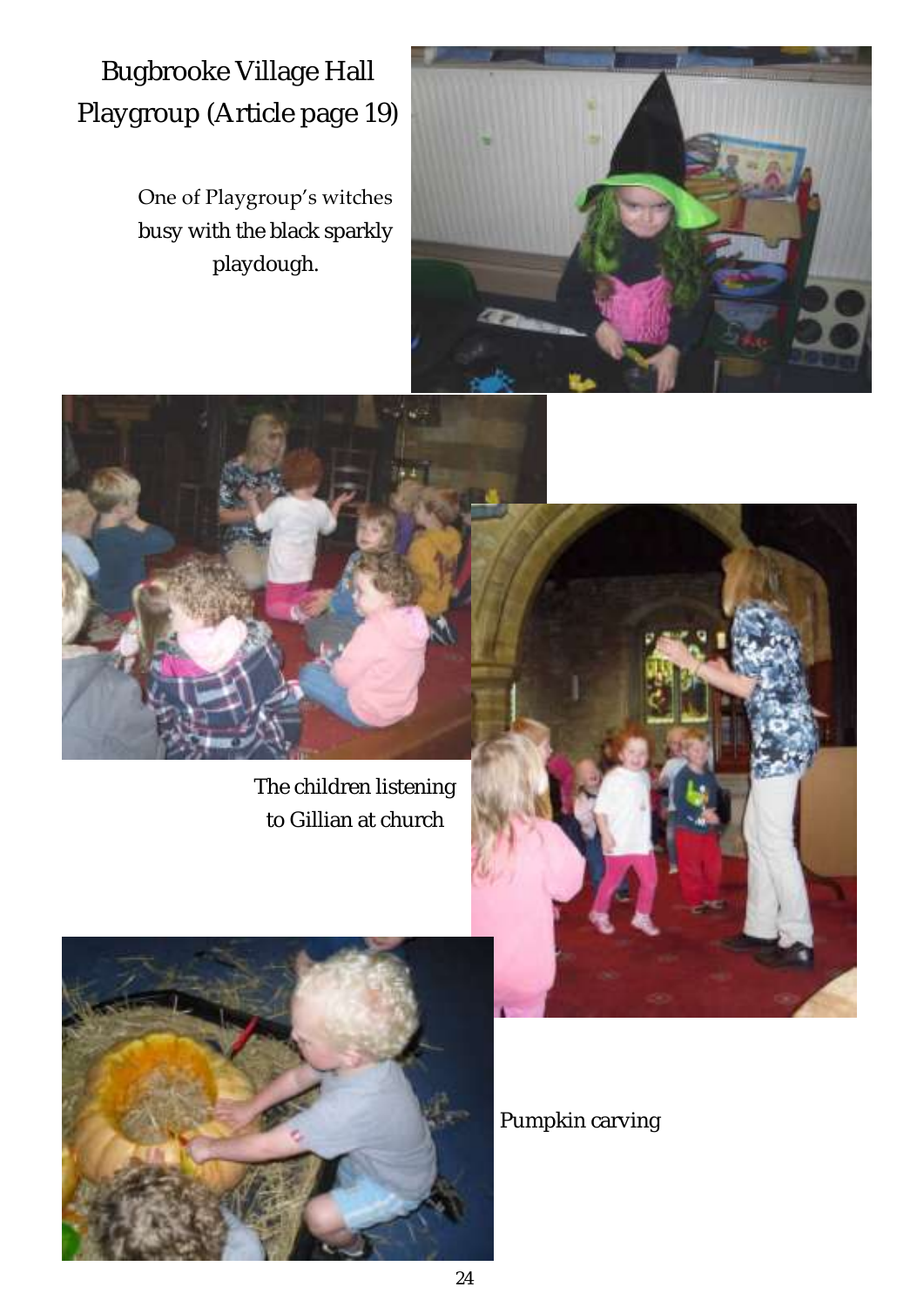Bugbrooke Village Hall Playgroup (Article page 19)

> One of Playgroup's witches busy with the black sparkly playdough.





The children listening to Gillian at church



Pumpkin carving